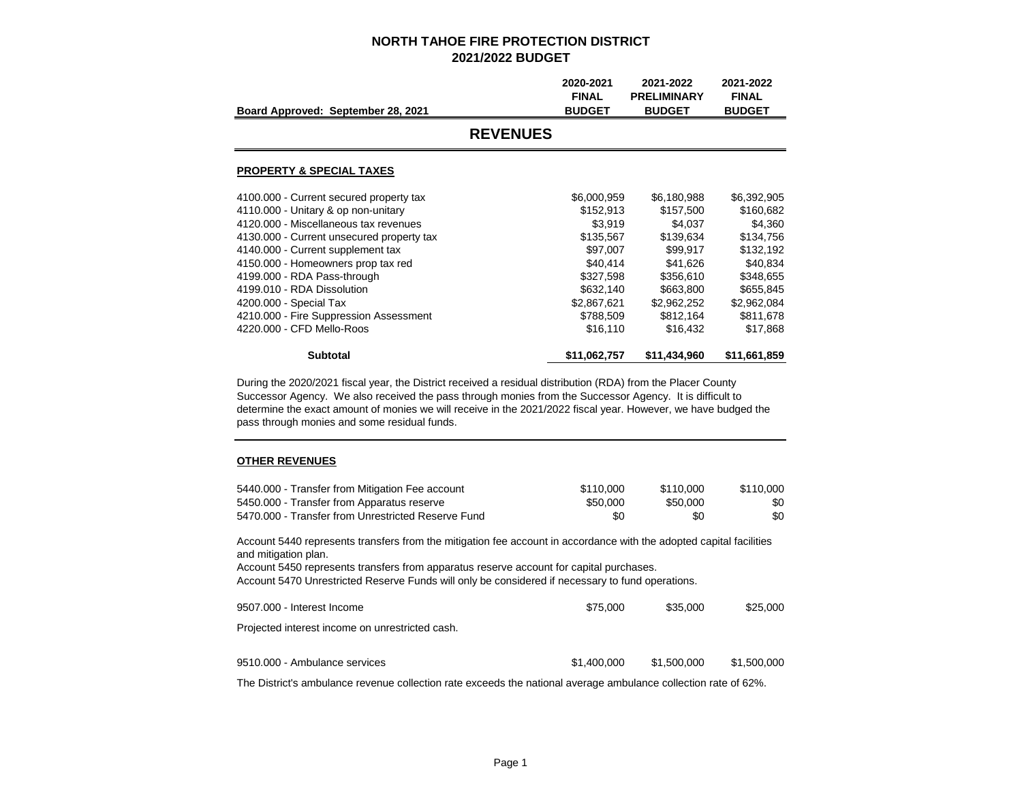| Board Approved: September 28, 2021        | 2020-2021<br><b>FINAL</b><br><b>BUDGET</b> | 2021-2022<br><b>PRELIMINARY</b><br><b>BUDGET</b> | 2021-2022<br><b>FINAL</b><br><b>BUDGET</b> |
|-------------------------------------------|--------------------------------------------|--------------------------------------------------|--------------------------------------------|
| <b>REVENUES</b>                           |                                            |                                                  |                                            |
| <b>PROPERTY &amp; SPECIAL TAXES</b>       |                                            |                                                  |                                            |
| 4100.000 - Current secured property tax   | \$6,000,959                                | \$6,180,988                                      | \$6,392,905                                |
| 4110.000 - Unitary & op non-unitary       | \$152,913                                  | \$157,500                                        | \$160,682                                  |
| 4120,000 - Miscellaneous tax revenues     | \$3,919                                    | \$4,037                                          | \$4,360                                    |
| 4130.000 - Current unsecured property tax | \$135,567                                  | \$139.634                                        | \$134,756                                  |
| 4140.000 - Current supplement tax         | \$97,007                                   | \$99.917                                         | \$132,192                                  |
| 4150.000 - Homeowners prop tax red        | \$40,414                                   | \$41,626                                         | \$40,834                                   |
| 4199.000 - RDA Pass-through               | \$327,598                                  | \$356,610                                        | \$348,655                                  |
| 4199.010 - RDA Dissolution                | \$632,140                                  | \$663,800                                        | \$655,845                                  |
| 4200.000 - Special Tax                    | \$2,867,621                                | \$2,962,252                                      | \$2,962,084                                |
| 4210.000 - Fire Suppression Assessment    | \$788,509                                  | \$812,164                                        | \$811,678                                  |
| 4220,000 - CFD Mello-Roos                 | \$16,110                                   | \$16,432                                         | \$17,868                                   |
| <b>Subtotal</b>                           | \$11,062,757                               | \$11,434,960                                     | \$11,661,859                               |

During the 2020/2021 fiscal year, the District received a residual distribution (RDA) from the Placer County Successor Agency. We also received the pass through monies from the Successor Agency. It is difficult to determine the exact amount of monies we will receive in the 2021/2022 fiscal year. However, we have budged the pass through monies and some residual funds.

#### **OTHER REVENUES**

| \$110,000 | \$110,000 | \$110.000 |
|-----------|-----------|-----------|
| \$50,000  | \$50,000  | \$0       |
| \$0       | \$0       | \$0       |
|           |           |           |

Account 5440 represents transfers from the mitigation fee account in accordance with the adopted capital facilities and mitigation plan.

Account 5450 represents transfers from apparatus reserve account for capital purchases. Account 5470 Unrestricted Reserve Funds will only be considered if necessary to fund operations.

| 9507.000 - Interest Income                      | \$75,000    | \$35,000    | \$25,000    |
|-------------------------------------------------|-------------|-------------|-------------|
| Projected interest income on unrestricted cash. |             |             |             |
| 9510.000 - Ambulance services                   | \$1,400,000 | \$1,500,000 | \$1,500,000 |

The District's ambulance revenue collection rate exceeds the national average ambulance collection rate of 62%.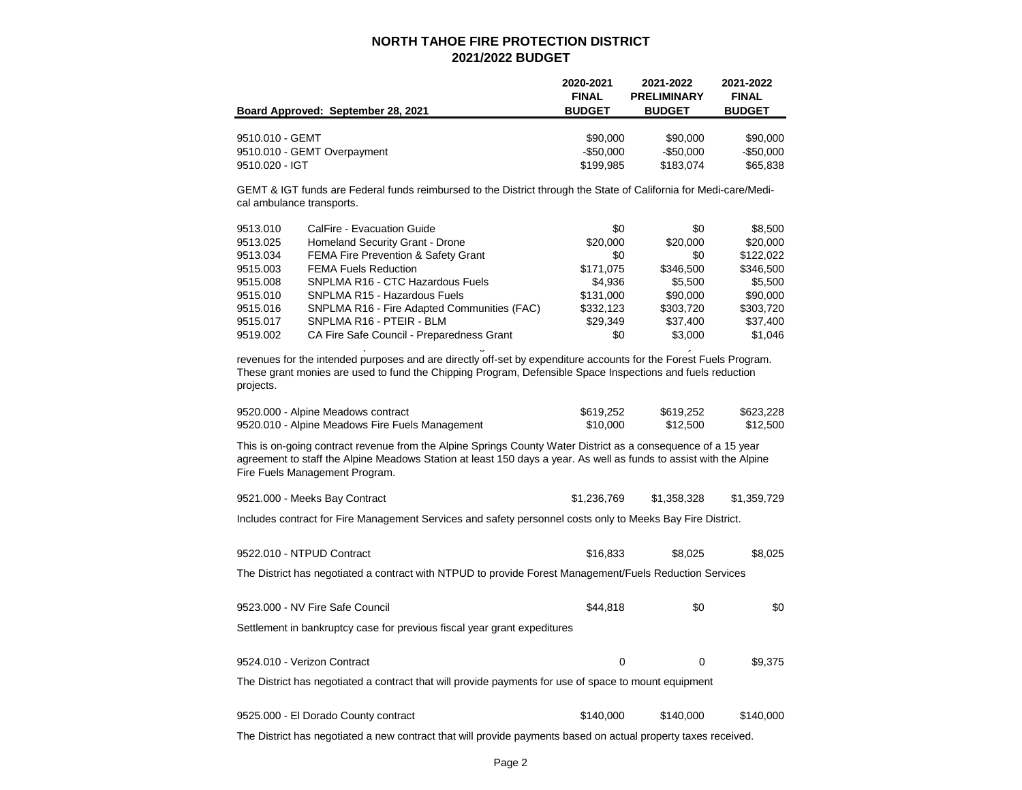|                                    | 2020-2021     | 2021-2022          | 2021-2022     |
|------------------------------------|---------------|--------------------|---------------|
|                                    | <b>FINAL</b>  | <b>PRELIMINARY</b> | <b>FINAL</b>  |
| Board Approved: September 28, 2021 | <b>BUDGET</b> | <b>BUDGET</b>      | <b>BUDGET</b> |
|                                    |               |                    |               |
| 9510.010 - GEMT                    | \$90,000      | \$90,000           | \$90,000      |
| 9510.010 - GEMT Overpayment        | $-$ \$50.000  | $-$ \$50.000       | -\$50.000     |
| 9510.020 - IGT                     | \$199.985     | \$183.074          | \$65,838      |

GEMT & IGT funds are Federal funds reimbursed to the District through the State of California for Medi-care/Medical ambulance transports.

| 9513.010 | CalFire - Evacuation Guide                     | \$0       | \$0       | \$8.500   |
|----------|------------------------------------------------|-----------|-----------|-----------|
| 9513.025 | Homeland Security Grant - Drone                | \$20,000  | \$20,000  | \$20,000  |
| 9513.034 | <b>FEMA Fire Prevention &amp; Safety Grant</b> | \$0       | \$0       | \$122,022 |
| 9515.003 | <b>FEMA Fuels Reduction</b>                    | \$171.075 | \$346,500 | \$346,500 |
| 9515,008 | SNPLMA R16 - CTC Hazardous Fuels               | \$4.936   | \$5.500   | \$5.500   |
| 9515.010 | SNPLMA R15 - Hazardous Fuels                   | \$131,000 | \$90,000  | \$90,000  |
| 9515.016 | SNPLMA R16 - Fire Adapted Communities (FAC)    | \$332.123 | \$303.720 | \$303.720 |
| 9515.017 | SNPLMA R16 - PTEIR - BLM                       | \$29.349  | \$37,400  | \$37,400  |
| 9519.002 | CA Fire Safe Council - Preparedness Grant      | \$0       | \$3,000   | \$1.046   |

revenues for the intended purposes and are directly off-set by expenditure accounts for the Forest Fuels Program. These grant monies are used to fund the Chipping Program, Defensible Space Inspections and fuels reduction projects.

Some of these accounts represent fuels reductions grants from State and Federal sources. They are restricted

| 9520.000 - Alpine Meadows contract              | \$619,252 | \$619,252 | \$623.228 |
|-------------------------------------------------|-----------|-----------|-----------|
| 9520.010 - Alpine Meadows Fire Fuels Management | \$10,000  | \$12.500  | \$12,500  |

This is on-going contract revenue from the Alpine Springs County Water District as a consequence of a 15 year agreement to staff the Alpine Meadows Station at least 150 days a year. As well as funds to assist with the Alpine Fire Fuels Management Program.

| 9521.000 - Meeks Bay Contract | \$1,236,769 | \$1,358,328 | \$1,359,729 |
|-------------------------------|-------------|-------------|-------------|
|                               |             |             |             |

Includes contract for Fire Management Services and safety personnel costs only to Meeks Bay Fire District.

| 9522.010 - NTPUD Contract                                                                                      | \$16,833  | \$8,025   | \$8,025   |
|----------------------------------------------------------------------------------------------------------------|-----------|-----------|-----------|
| The District has negotiated a contract with NTPUD to provide Forest Management/Fuels Reduction Services        |           |           |           |
| 9523.000 - NV Fire Safe Council                                                                                | \$44,818  | \$0       | \$0       |
| Settlement in bankruptcy case for previous fiscal year grant expeditures                                       |           |           |           |
| 9524.010 - Verizon Contract                                                                                    | 0         | 0         | \$9,375   |
| The District has negotiated a contract that will provide payments for use of space to mount equipment          |           |           |           |
| 9525.000 - El Dorado County contract                                                                           | \$140,000 | \$140,000 | \$140,000 |
| The District has negotiated a new contract that will provide payments based on actual property taxes received. |           |           |           |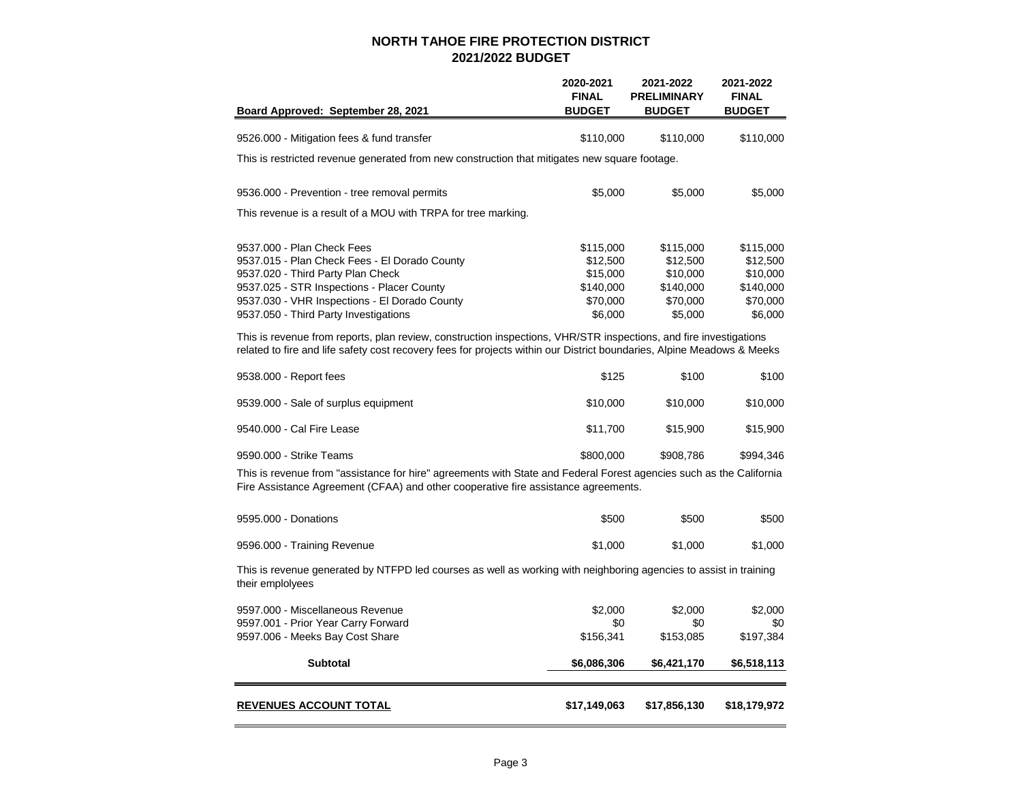| Board Approved: September 28, 2021                                                                                                                                                                                                                       | 2020-2021<br><b>FINAL</b><br><b>BUDGET</b>                            | 2021-2022<br><b>PRELIMINARY</b><br><b>BUDGET</b>                      | 2021-2022<br><b>FINAL</b><br><b>BUDGET</b>                            |
|----------------------------------------------------------------------------------------------------------------------------------------------------------------------------------------------------------------------------------------------------------|-----------------------------------------------------------------------|-----------------------------------------------------------------------|-----------------------------------------------------------------------|
| 9526.000 - Mitigation fees & fund transfer                                                                                                                                                                                                               | \$110,000                                                             | \$110,000                                                             | \$110,000                                                             |
| This is restricted revenue generated from new construction that mitigates new square footage.                                                                                                                                                            |                                                                       |                                                                       |                                                                       |
| 9536.000 - Prevention - tree removal permits                                                                                                                                                                                                             | \$5,000                                                               | \$5,000                                                               | \$5,000                                                               |
| This revenue is a result of a MOU with TRPA for tree marking.                                                                                                                                                                                            |                                                                       |                                                                       |                                                                       |
| 9537,000 - Plan Check Fees<br>9537.015 - Plan Check Fees - El Dorado County<br>9537.020 - Third Party Plan Check<br>9537.025 - STR Inspections - Placer County<br>9537.030 - VHR Inspections - El Dorado County<br>9537.050 - Third Party Investigations | \$115,000<br>\$12,500<br>\$15,000<br>\$140,000<br>\$70,000<br>\$6,000 | \$115,000<br>\$12,500<br>\$10,000<br>\$140,000<br>\$70,000<br>\$5,000 | \$115,000<br>\$12,500<br>\$10,000<br>\$140,000<br>\$70,000<br>\$6,000 |
| This is revenue from reports, plan review, construction inspections, VHR/STR inspections, and fire investigations<br>related to fire and life safety cost recovery fees for projects within our District boundaries, Alpine Meadows & Meeks              |                                                                       |                                                                       |                                                                       |
| 9538.000 - Report fees                                                                                                                                                                                                                                   | \$125                                                                 | \$100                                                                 | \$100                                                                 |
| 9539.000 - Sale of surplus equipment                                                                                                                                                                                                                     | \$10,000                                                              | \$10,000                                                              | \$10,000                                                              |
| 9540,000 - Cal Fire Lease                                                                                                                                                                                                                                | \$11,700                                                              | \$15,900                                                              | \$15,900                                                              |
| 9590.000 - Strike Teams                                                                                                                                                                                                                                  | \$800,000                                                             | \$908,786                                                             | \$994,346                                                             |
| This is revenue from "assistance for hire" agreements with State and Federal Forest agencies such as the California<br>Fire Assistance Agreement (CFAA) and other cooperative fire assistance agreements.                                                |                                                                       |                                                                       |                                                                       |
| 9595,000 - Donations                                                                                                                                                                                                                                     | \$500                                                                 | \$500                                                                 | \$500                                                                 |
| 9596.000 - Training Revenue                                                                                                                                                                                                                              | \$1,000                                                               | \$1,000                                                               | \$1,000                                                               |
| This is revenue generated by NTFPD led courses as well as working with neighboring agencies to assist in training<br>their emplolyees                                                                                                                    |                                                                       |                                                                       |                                                                       |
| 9597.000 - Miscellaneous Revenue<br>9597.001 - Prior Year Carry Forward                                                                                                                                                                                  | \$2,000<br>\$0                                                        | \$2,000<br>\$0                                                        | \$2,000<br>\$0                                                        |
| 9597.006 - Meeks Bay Cost Share                                                                                                                                                                                                                          | \$156,341                                                             | \$153,085                                                             | \$197,384                                                             |
| <b>Subtotal</b>                                                                                                                                                                                                                                          | \$6,086,306                                                           | \$6,421,170                                                           | \$6,518,113                                                           |
| <b>REVENUES ACCOUNT TOTAL</b>                                                                                                                                                                                                                            | \$17,149,063                                                          | \$17,856,130                                                          | \$18,179,972                                                          |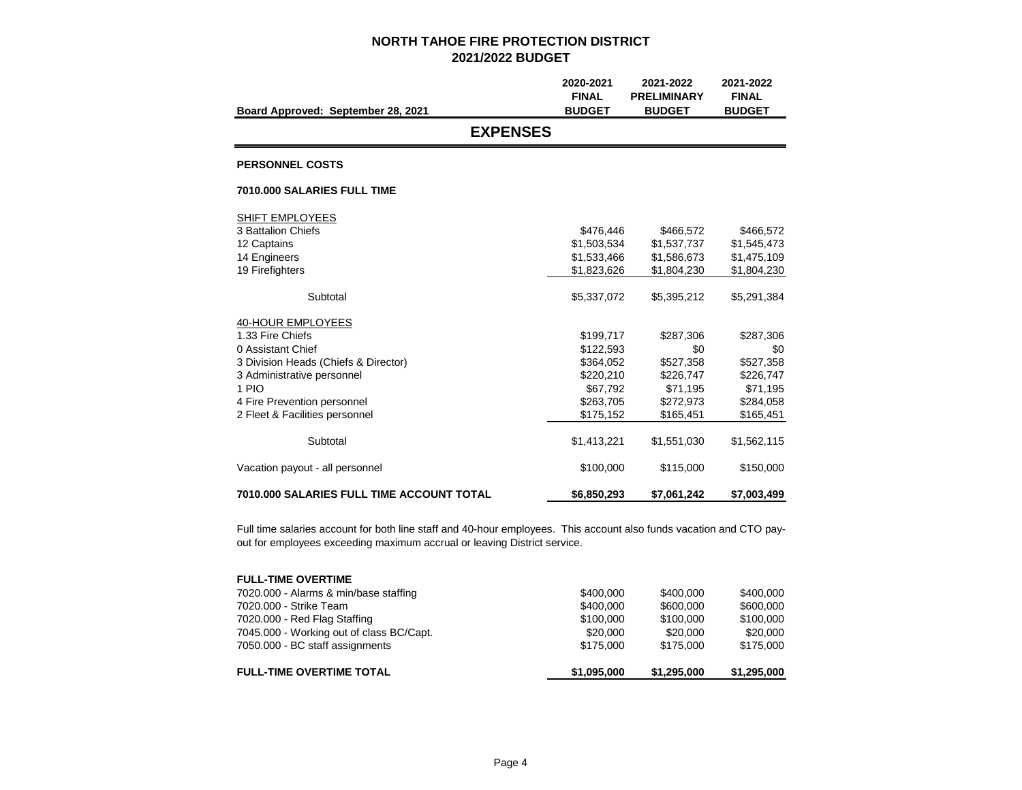|                                                  | 2020-2021     | 2021-2022          | 2021-2022     |
|--------------------------------------------------|---------------|--------------------|---------------|
|                                                  | <b>FINAL</b>  | <b>PRELIMINARY</b> | <b>FINAL</b>  |
| Board Approved: September 28, 2021               | <b>BUDGET</b> | <b>BUDGET</b>      | <b>BUDGET</b> |
| <b>EXPENSES</b>                                  |               |                    |               |
| <b>PERSONNEL COSTS</b>                           |               |                    |               |
| 7010.000 SALARIES FULL TIME                      |               |                    |               |
| SHIFT EMPLOYEES                                  |               |                    |               |
| 3 Battalion Chiefs                               | \$476,446     | \$466,572          | \$466,572     |
| 12 Captains                                      | \$1,503,534   | \$1,537,737        | \$1,545,473   |
| 14 Engineers                                     | \$1,533,466   | \$1,586,673        | \$1,475,109   |
| 19 Firefighters                                  | \$1,823,626   | \$1,804,230        | \$1,804,230   |
| Subtotal                                         | \$5,337,072   | \$5,395,212        | \$5,291,384   |
| 40-HOUR EMPLOYEES                                |               |                    |               |
| 1.33 Fire Chiefs                                 | \$199,717     | \$287,306          | \$287,306     |
| 0 Assistant Chief                                | \$122,593     | \$0                | \$0           |
| 3 Division Heads (Chiefs & Director)             | \$364.052     | \$527,358          | \$527,358     |
| 3 Administrative personnel                       | \$220,210     | \$226,747          | \$226,747     |
| 1 PIO                                            | \$67,792      | \$71,195           | \$71,195      |
| 4 Fire Prevention personnel                      | \$263,705     | \$272,973          | \$284,058     |
| 2 Fleet & Facilities personnel                   | \$175,152     | \$165,451          | \$165,451     |
| Subtotal                                         | \$1,413,221   | \$1,551,030        | \$1,562,115   |
| Vacation payout - all personnel                  | \$100,000     | \$115,000          | \$150,000     |
| <b>7010.000 SALARIES FULL TIME ACCOUNT TOTAL</b> | \$6,850,293   | \$7,061,242        | \$7,003,499   |

Full time salaries account for both line staff and 40-hour employees. This account also funds vacation and CTO payout for employees exceeding maximum accrual or leaving District service.

| \$100,000<br>\$20,000<br>\$175,000 |
|------------------------------------|
|                                    |
|                                    |
|                                    |
| \$600,000                          |
| \$400,000                          |
|                                    |
|                                    |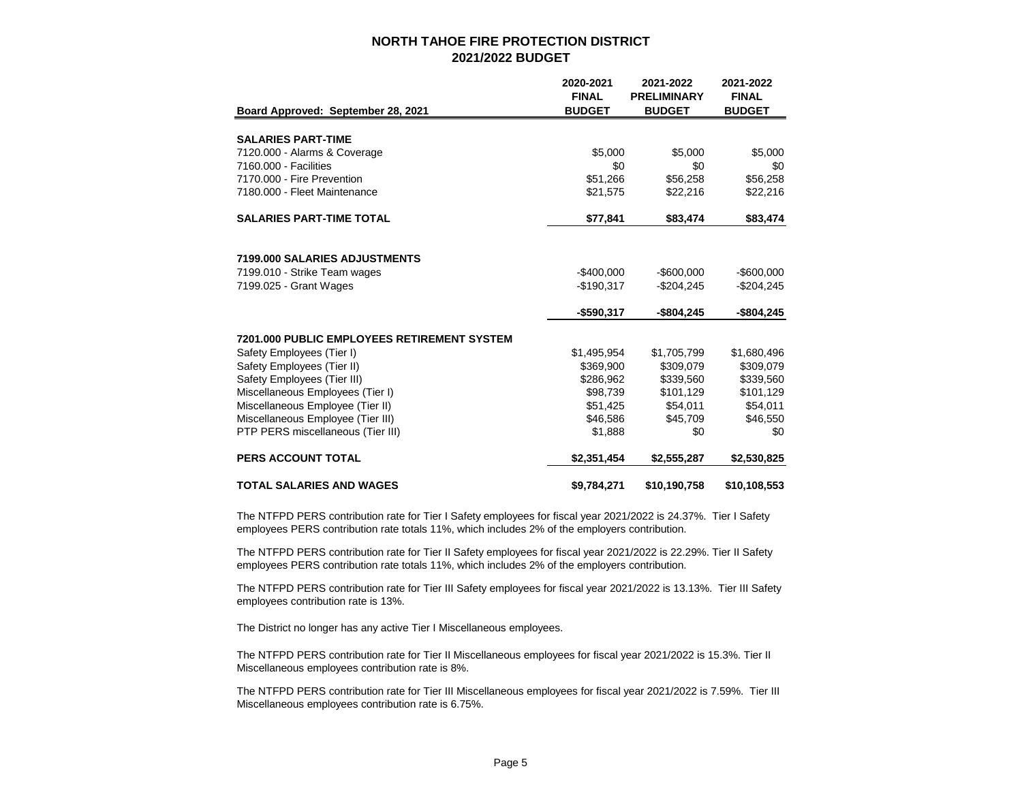|                                                    | 2020-2021<br><b>FINAL</b> | 2021-2022<br><b>PRELIMINARY</b> | 2021-2022<br><b>FINAL</b> |
|----------------------------------------------------|---------------------------|---------------------------------|---------------------------|
| Board Approved: September 28, 2021                 | <b>BUDGET</b>             | <b>BUDGET</b>                   | <b>BUDGET</b>             |
|                                                    |                           |                                 |                           |
| <b>SALARIES PART-TIME</b>                          |                           |                                 |                           |
| 7120.000 - Alarms & Coverage                       | \$5,000                   | \$5,000                         | \$5,000                   |
| 7160,000 - Facilities                              | \$0                       | \$0                             | \$0                       |
| 7170.000 - Fire Prevention                         | \$51,266                  | \$56,258                        | \$56,258                  |
| 7180.000 - Fleet Maintenance                       | \$21,575                  | \$22,216                        | \$22,216                  |
| <b>SALARIES PART-TIME TOTAL</b>                    | \$77,841                  | \$83,474                        | \$83,474                  |
|                                                    |                           |                                 |                           |
| 7199.000 SALARIES ADJUSTMENTS                      |                           |                                 |                           |
| 7199.010 - Strike Team wages                       | $-$400,000$               | $-$ \$600,000                   | $-$ \$600,000             |
| 7199.025 - Grant Wages                             | $-$190,317$               | $-$204,245$                     | $-$204,245$               |
|                                                    | $-$590,317$               | $-$804,245$                     | $-$804,245$               |
| <b>7201.000 PUBLIC EMPLOYEES RETIREMENT SYSTEM</b> |                           |                                 |                           |
| Safety Employees (Tier I)                          | \$1,495,954               | \$1,705,799                     | \$1,680,496               |
| Safety Employees (Tier II)                         | \$369.900                 | \$309.079                       | \$309,079                 |
| Safety Employees (Tier III)                        | \$286,962                 | \$339,560                       | \$339,560                 |
| Miscellaneous Employees (Tier I)                   | \$98,739                  | \$101,129                       | \$101,129                 |
| Miscellaneous Employee (Tier II)                   | \$51,425                  | \$54,011                        | \$54,011                  |
| Miscellaneous Employee (Tier III)                  | \$46,586                  | \$45,709                        | \$46,550                  |
| PTP PERS miscellaneous (Tier III)                  | \$1,888                   | \$0                             | \$0                       |
| <b>PERS ACCOUNT TOTAL</b>                          | \$2,351,454               | \$2,555,287                     | \$2,530,825               |
| <b>TOTAL SALARIES AND WAGES</b>                    | \$9,784,271               | \$10,190,758                    | \$10,108,553              |

The NTFPD PERS contribution rate for Tier I Safety employees for fiscal year 2021/2022 is 24.37%. Tier I Safety employees PERS contribution rate totals 11%, which includes 2% of the employers contribution.

The NTFPD PERS contribution rate for Tier II Safety employees for fiscal year 2021/2022 is 22.29%. Tier II Safety employees PERS contribution rate totals 11%, which includes 2% of the employers contribution.

The NTFPD PERS contribution rate for Tier III Safety employees for fiscal year 2021/2022 is 13.13%. Tier III Safety employees contribution rate is 13%.

The District no longer has any active Tier I Miscellaneous employees.

The NTFPD PERS contribution rate for Tier II Miscellaneous employees for fiscal year 2021/2022 is 15.3%. Tier II Miscellaneous employees contribution rate is 8%.

The NTFPD PERS contribution rate for Tier III Miscellaneous employees for fiscal year 2021/2022 is 7.59%. Tier III Miscellaneous employees contribution rate is 6.75%.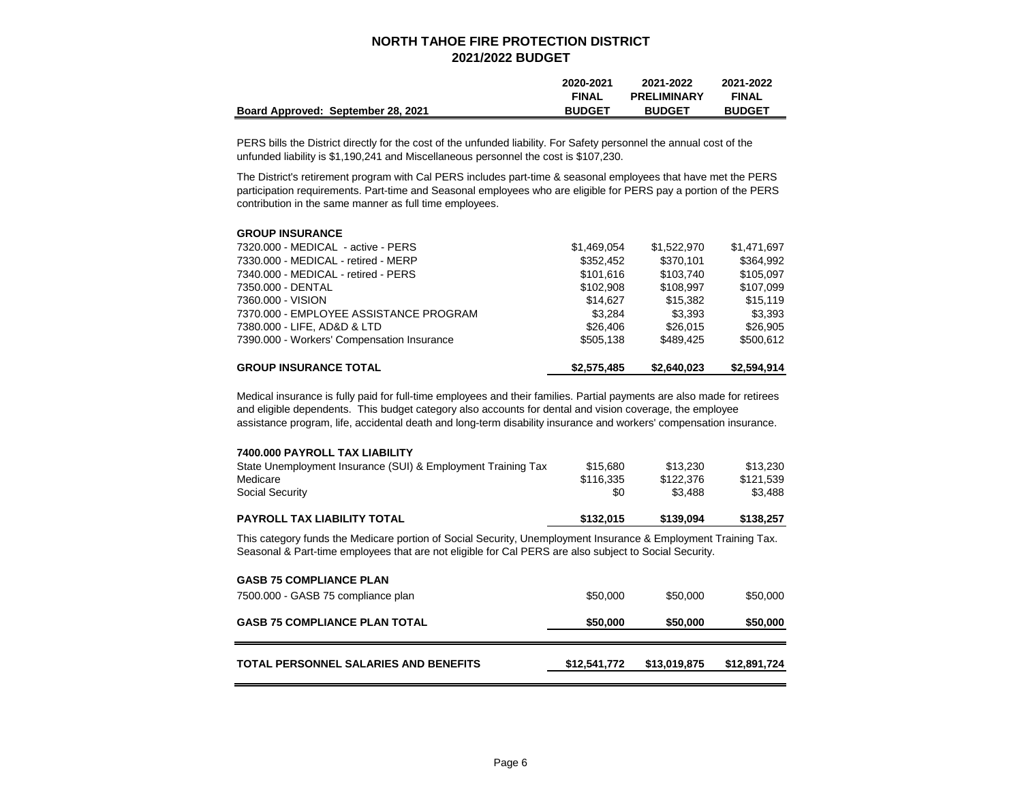|                                    | 2020-2021     | 2021-2022          | 2021-2022     |
|------------------------------------|---------------|--------------------|---------------|
|                                    | <b>FINAL</b>  | <b>PRELIMINARY</b> | <b>FINAL</b>  |
| Board Approved: September 28, 2021 | <b>BUDGET</b> | <b>BUDGET</b>      | <b>BUDGET</b> |

PERS bills the District directly for the cost of the unfunded liability. For Safety personnel the annual cost of the unfunded liability is \$1,190,241 and Miscellaneous personnel the cost is \$107,230.

The District's retirement program with Cal PERS includes part-time & seasonal employees that have met the PERS participation requirements. Part-time and Seasonal employees who are eligible for PERS pay a portion of the PERS contribution in the same manner as full time employees.

#### **GROUP INSURANCE**

| <b>GROUP INSURANCE TOTAL</b>               | \$2,575,485 | \$2,640,023 | \$2,594,914 |
|--------------------------------------------|-------------|-------------|-------------|
| 7390.000 - Workers' Compensation Insurance | \$505.138   | \$489.425   | \$500.612   |
| 7380.000 - LIFE, AD&D & LTD                | \$26,406    | \$26,015    | \$26,905    |
| 7370.000 - EMPLOYEE ASSISTANCE PROGRAM     | \$3.284     | \$3.393     | \$3,393     |
| 7360.000 - VISION                          | \$14.627    | \$15,382    | \$15.119    |
| 7350.000 - DENTAL                          | \$102.908   | \$108.997   | \$107.099   |
| 7340.000 - MEDICAL - retired - PERS        | \$101.616   | \$103.740   | \$105.097   |
| 7330.000 - MEDICAL - retired - MERP        | \$352.452   | \$370,101   | \$364,992   |
| 7320.000 - MEDICAL - active - PERS         | \$1.469.054 | \$1.522,970 | \$1,471,697 |

Medical insurance is fully paid for full-time employees and their families. Partial payments are also made for retirees and eligible dependents. This budget category also accounts for dental and vision coverage, the employee assistance program, life, accidental death and long-term disability insurance and workers' compensation insurance.

| <b>PAYROLL TAX LIABILITY TOTAL</b>                           | \$132.015 | \$139,094 | \$138.257 |
|--------------------------------------------------------------|-----------|-----------|-----------|
| <b>Social Security</b>                                       | \$0       | \$3.488   | \$3.488   |
| Medicare                                                     | \$116.335 | \$122,376 | \$121.539 |
| State Unemployment Insurance (SUI) & Employment Training Tax | \$15,680  | \$13,230  | \$13.230  |
| 7400,000 PAYROLL TAX LIABILITY                               |           |           |           |

This category funds the Medicare portion of Social Security, Unemployment Insurance & Employment Training Tax. Seasonal & Part-time employees that are not eligible for Cal PERS are also subject to Social Security.

| <b>GASB 75 COMPLIANCE PLAN</b><br>7500.000 - GASB 75 compliance plan | \$50,000     | \$50,000     | \$50,000     |
|----------------------------------------------------------------------|--------------|--------------|--------------|
| <b>GASB 75 COMPLIANCE PLAN TOTAL</b>                                 | \$50,000     | \$50,000     | \$50,000     |
| TOTAL PERSONNEL SALARIES AND BENEFITS                                | \$12,541,772 | \$13,019,875 | \$12,891,724 |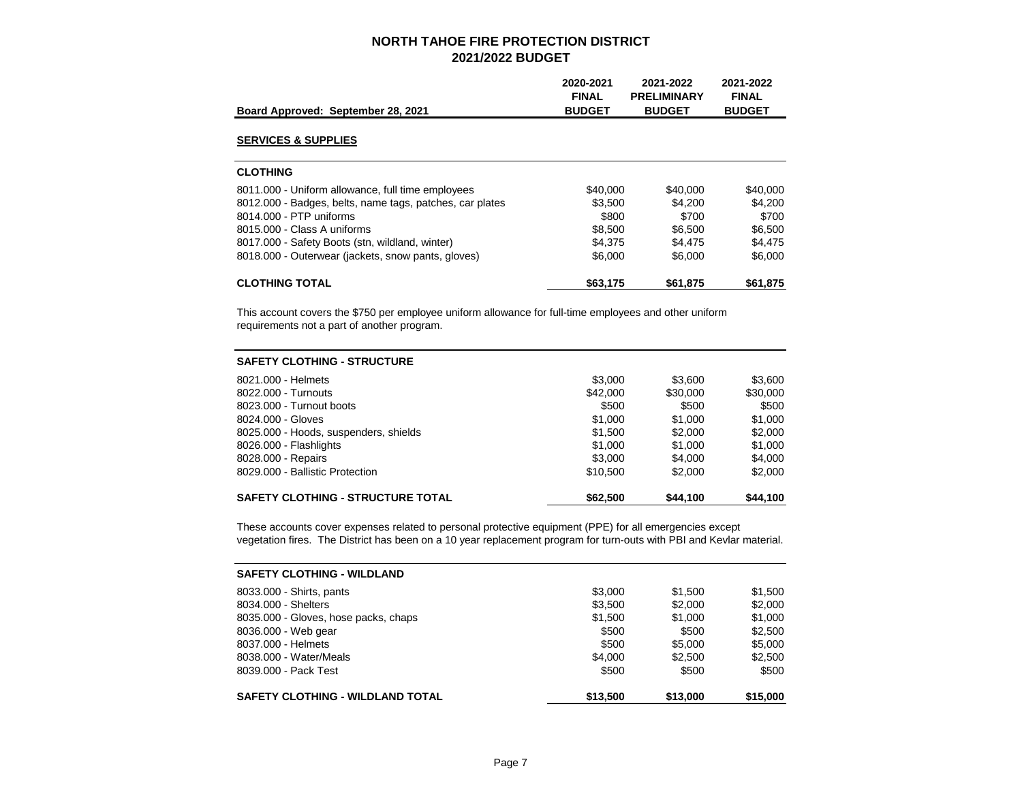| Board Approved: September 28, 2021                       | 2020-2021<br><b>FINAL</b><br><b>BUDGET</b> | 2021-2022<br><b>PRELIMINARY</b><br><b>BUDGET</b> | 2021-2022<br><b>FINAL</b><br><b>BUDGET</b> |
|----------------------------------------------------------|--------------------------------------------|--------------------------------------------------|--------------------------------------------|
| <b>SERVICES &amp; SUPPLIES</b>                           |                                            |                                                  |                                            |
| <b>CLOTHING</b>                                          |                                            |                                                  |                                            |
| 8011.000 - Uniform allowance, full time employees        | \$40,000                                   | \$40,000                                         | \$40,000                                   |
| 8012.000 - Badges, belts, name tags, patches, car plates | \$3,500                                    | \$4.200                                          | \$4,200                                    |
| 8014.000 - PTP uniforms                                  | \$800                                      | \$700                                            | \$700                                      |
| 8015.000 - Class A uniforms                              | \$8,500                                    | \$6,500                                          | \$6,500                                    |
| 8017.000 - Safety Boots (stn. wildland, winter)          | \$4.375                                    | \$4.475                                          | \$4,475                                    |
| 8018.000 - Outerwear (jackets, snow pants, gloves)       | \$6,000                                    | \$6,000                                          | \$6,000                                    |
| <b>CLOTHING TOTAL</b>                                    | \$63,175                                   | \$61,875                                         | \$61,875                                   |

This account covers the \$750 per employee uniform allowance for full-time employees and other uniform requirements not a part of another program.

| <b>SAFETY CLOTHING - STRUCTURE</b>       |          |          |          |
|------------------------------------------|----------|----------|----------|
| 8021.000 - Helmets                       | \$3,000  | \$3.600  | \$3,600  |
| 8022.000 - Turnouts                      | \$42,000 | \$30,000 | \$30,000 |
| 8023,000 - Turnout boots                 | \$500    | \$500    | \$500    |
| 8024.000 - Gloves                        | \$1,000  | \$1,000  | \$1,000  |
| 8025.000 - Hoods, suspenders, shields    | \$1.500  | \$2,000  | \$2,000  |
| 8026.000 - Flashlights                   | \$1,000  | \$1,000  | \$1,000  |
| 8028.000 - Repairs                       | \$3,000  | \$4,000  | \$4,000  |
| 8029.000 - Ballistic Protection          | \$10,500 | \$2,000  | \$2,000  |
| <b>SAFETY CLOTHING - STRUCTURE TOTAL</b> | \$62,500 | \$44,100 | \$44,100 |

These accounts cover expenses related to personal protective equipment (PPE) for all emergencies except vegetation fires. The District has been on a 10 year replacement program for turn-outs with PBI and Kevlar material.

| <b>SAFETY CLOTHING - WILDLAND</b>       |          |          |          |
|-----------------------------------------|----------|----------|----------|
| 8033.000 - Shirts, pants                | \$3,000  | \$1,500  | \$1,500  |
| 8034.000 - Shelters                     | \$3,500  | \$2,000  | \$2,000  |
| 8035.000 - Gloves, hose packs, chaps    | \$1.500  | \$1,000  | \$1,000  |
| 8036.000 - Web gear                     | \$500    | \$500    | \$2,500  |
| 8037,000 - Helmets                      | \$500    | \$5,000  | \$5,000  |
| 8038.000 - Water/Meals                  | \$4,000  | \$2,500  | \$2,500  |
| 8039,000 - Pack Test                    | \$500    | \$500    | \$500    |
| <b>SAFETY CLOTHING - WILDLAND TOTAL</b> | \$13,500 | \$13,000 | \$15,000 |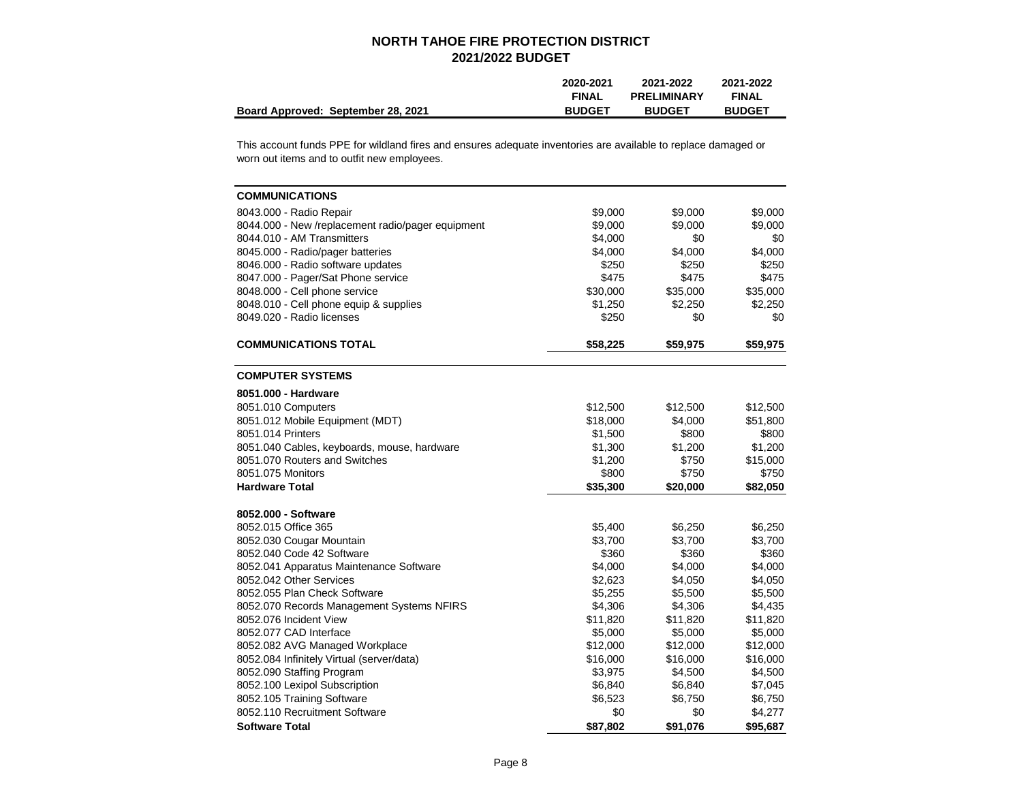|                                    | 2020-2021     | 2021-2022          | 2021-2022     |
|------------------------------------|---------------|--------------------|---------------|
|                                    | <b>FINAL</b>  | <b>PRELIMINARY</b> | <b>FINAL</b>  |
| Board Approved: September 28, 2021 | <b>BUDGET</b> | <b>BUDGET</b>      | <b>BUDGET</b> |

This account funds PPE for wildland fires and ensures adequate inventories are available to replace damaged or worn out items and to outfit new employees.

| <b>COMMUNICATIONS</b>                             |          |          |          |
|---------------------------------------------------|----------|----------|----------|
| 8043.000 - Radio Repair                           | \$9,000  | \$9,000  | \$9,000  |
| 8044.000 - New /replacement radio/pager equipment | \$9,000  | \$9,000  | \$9,000  |
| 8044.010 - AM Transmitters                        | \$4,000  | \$0      | \$0      |
| 8045.000 - Radio/pager batteries                  | \$4,000  | \$4,000  | \$4,000  |
| 8046.000 - Radio software updates                 | \$250    | \$250    | \$250    |
| 8047.000 - Pager/Sat Phone service                | \$475    | \$475    | \$475    |
| 8048.000 - Cell phone service                     | \$30,000 | \$35,000 | \$35,000 |
| 8048.010 - Cell phone equip & supplies            | \$1,250  | \$2,250  | \$2,250  |
| 8049.020 - Radio licenses                         | \$250    | \$0      | \$0      |
| <b>COMMUNICATIONS TOTAL</b>                       | \$58,225 | \$59,975 | \$59,975 |
| <b>COMPUTER SYSTEMS</b>                           |          |          |          |
| 8051.000 - Hardware                               |          |          |          |
| 8051.010 Computers                                | \$12,500 | \$12,500 | \$12,500 |
| 8051.012 Mobile Equipment (MDT)                   | \$18,000 | \$4,000  | \$51,800 |
| 8051.014 Printers                                 | \$1,500  | \$800    | \$800    |
| 8051.040 Cables, keyboards, mouse, hardware       | \$1,300  | \$1,200  | \$1,200  |
| 8051,070 Routers and Switches                     | \$1,200  | \$750    | \$15,000 |
| 8051.075 Monitors                                 | \$800    | \$750    | \$750    |
| <b>Hardware Total</b>                             | \$35,300 | \$20,000 | \$82,050 |
| 8052.000 - Software                               |          |          |          |
| 8052.015 Office 365                               | \$5,400  | \$6,250  | \$6,250  |
| 8052.030 Cougar Mountain                          | \$3,700  | \$3,700  | \$3,700  |
| 8052.040 Code 42 Software                         | \$360    | \$360    | \$360    |
| 8052.041 Apparatus Maintenance Software           | \$4,000  | \$4,000  | \$4,000  |
| 8052.042 Other Services                           | \$2,623  | \$4,050  | \$4,050  |
| 8052.055 Plan Check Software                      | \$5,255  | \$5,500  | \$5,500  |
| 8052.070 Records Management Systems NFIRS         | \$4,306  | \$4,306  | \$4,435  |
| 8052.076 Incident View                            | \$11,820 | \$11,820 | \$11,820 |
| 8052.077 CAD Interface                            | \$5,000  | \$5,000  | \$5,000  |
| 8052.082 AVG Managed Workplace                    | \$12,000 | \$12,000 | \$12,000 |
| 8052.084 Infinitely Virtual (server/data)         | \$16,000 | \$16,000 | \$16,000 |
| 8052.090 Staffing Program                         | \$3,975  | \$4,500  | \$4,500  |
| 8052.100 Lexipol Subscription                     | \$6,840  | \$6,840  | \$7,045  |
| 8052.105 Training Software                        | \$6,523  | \$6,750  | \$6,750  |
| 8052.110 Recruitment Software                     | \$0      | \$0      | \$4,277  |
| <b>Software Total</b>                             | \$87,802 | \$91,076 | \$95,687 |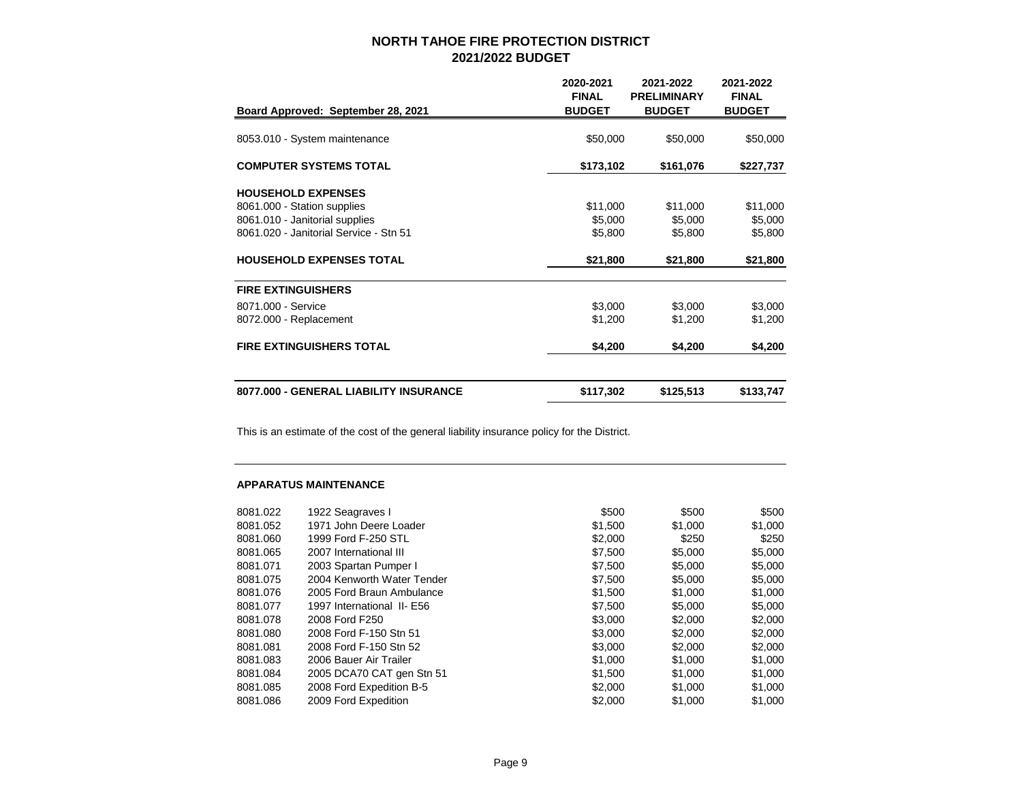| Board Approved: September 28, 2021     | 2020-2021<br><b>FINAL</b><br><b>BUDGET</b> | 2021-2022<br><b>PRELIMINARY</b><br><b>BUDGET</b> | 2021-2022<br><b>FINAL</b><br><b>BUDGET</b> |
|----------------------------------------|--------------------------------------------|--------------------------------------------------|--------------------------------------------|
|                                        |                                            |                                                  |                                            |
| 8053.010 - System maintenance          | \$50,000                                   | \$50,000                                         | \$50,000                                   |
| <b>COMPUTER SYSTEMS TOTAL</b>          | \$173,102                                  | \$161,076                                        | \$227,737                                  |
| <b>HOUSEHOLD EXPENSES</b>              |                                            |                                                  |                                            |
| 8061.000 - Station supplies            | \$11,000                                   | \$11,000                                         | \$11,000                                   |
| 8061.010 - Janitorial supplies         | \$5,000                                    | \$5,000                                          | \$5,000                                    |
| 8061.020 - Janitorial Service - Stn 51 | \$5,800                                    | \$5,800                                          | \$5,800                                    |
| <b>HOUSEHOLD EXPENSES TOTAL</b>        | \$21,800                                   | \$21,800                                         | \$21,800                                   |
| <b>FIRE EXTINGUISHERS</b>              |                                            |                                                  |                                            |
| 8071.000 - Service                     | \$3,000                                    | \$3,000                                          | \$3,000                                    |
| 8072.000 - Replacement                 | \$1,200                                    | \$1,200                                          | \$1,200                                    |
| <b>FIRE EXTINGUISHERS TOTAL</b>        | \$4,200                                    | \$4,200                                          | \$4,200                                    |
| 8077.000 - GENERAL LIABILITY INSURANCE | \$117,302                                  | \$125,513                                        | \$133,747                                  |

This is an estimate of the cost of the general liability insurance policy for the District.

#### **APPARATUS MAINTENANCE**

| 8081.022 | 1922 Seagraves I           | \$500   | \$500   | \$500   |
|----------|----------------------------|---------|---------|---------|
| 8081.052 | 1971 John Deere Loader     | \$1,500 | \$1,000 | \$1,000 |
| 8081.060 | 1999 Ford F-250 STL        | \$2,000 | \$250   | \$250   |
| 8081.065 | 2007 International III     | \$7.500 | \$5,000 | \$5,000 |
| 8081.071 | 2003 Spartan Pumper I      | \$7.500 | \$5,000 | \$5,000 |
| 8081.075 | 2004 Kenworth Water Tender | \$7,500 | \$5,000 | \$5,000 |
| 8081.076 | 2005 Ford Braun Ambulance  | \$1,500 | \$1,000 | \$1,000 |
| 8081.077 | 1997 International II- E56 | \$7,500 | \$5,000 | \$5,000 |
| 8081.078 | 2008 Ford F250             | \$3,000 | \$2,000 | \$2,000 |
| 8081.080 | 2008 Ford F-150 Stn 51     | \$3,000 | \$2,000 | \$2,000 |
| 8081.081 | 2008 Ford F-150 Stn 52     | \$3,000 | \$2,000 | \$2,000 |
| 8081.083 | 2006 Bauer Air Trailer     | \$1,000 | \$1,000 | \$1,000 |
| 8081.084 | 2005 DCA70 CAT gen Stn 51  | \$1,500 | \$1,000 | \$1,000 |
| 8081.085 | 2008 Ford Expedition B-5   | \$2,000 | \$1,000 | \$1,000 |
| 8081.086 | 2009 Ford Expedition       | \$2,000 | \$1,000 | \$1,000 |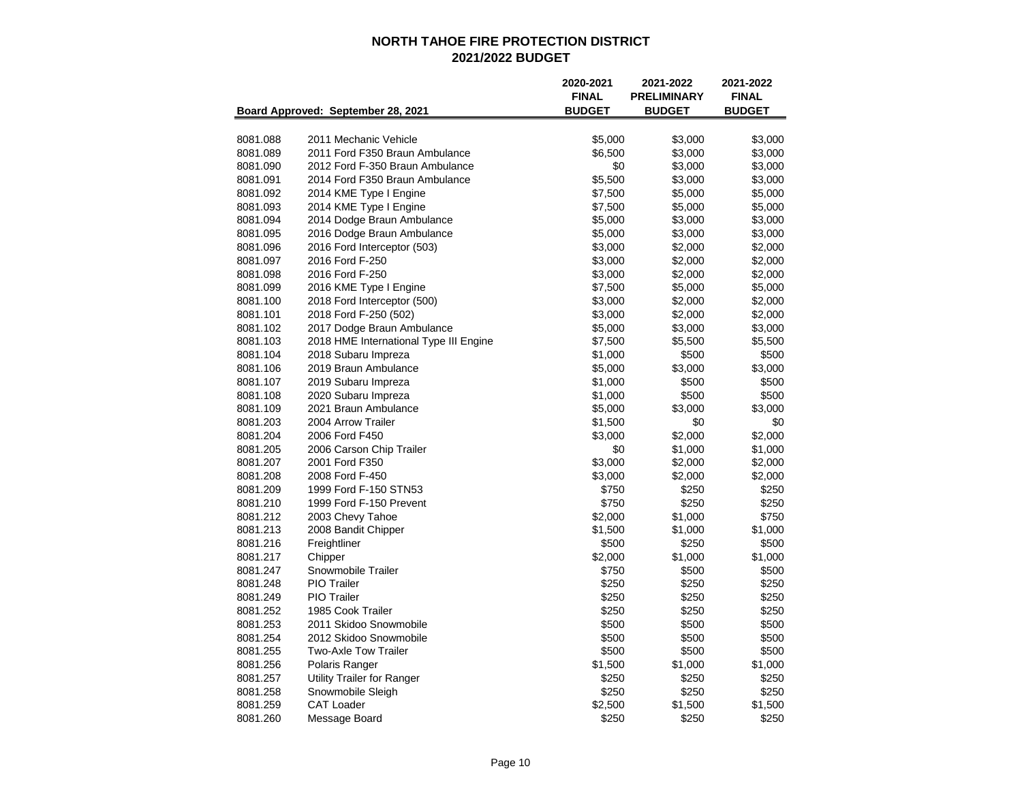|          |                                        | 2020-2021<br><b>FINAL</b> | 2021-2022<br><b>PRELIMINARY</b> | 2021-2022<br><b>FINAL</b> |
|----------|----------------------------------------|---------------------------|---------------------------------|---------------------------|
|          | Board Approved: September 28, 2021     | <b>BUDGET</b>             | <b>BUDGET</b>                   | <b>BUDGET</b>             |
| 8081.088 | 2011 Mechanic Vehicle                  | \$5,000                   | \$3,000                         | \$3,000                   |
| 8081.089 | 2011 Ford F350 Braun Ambulance         | \$6,500                   | \$3,000                         | \$3,000                   |
| 8081.090 | 2012 Ford F-350 Braun Ambulance        | \$0                       | \$3,000                         | \$3,000                   |
| 8081.091 | 2014 Ford F350 Braun Ambulance         | \$5,500                   | \$3,000                         | \$3,000                   |
| 8081.092 | 2014 KME Type I Engine                 | \$7,500                   | \$5,000                         | \$5,000                   |
| 8081.093 | 2014 KME Type I Engine                 | \$7,500                   | \$5,000                         | \$5,000                   |
| 8081.094 | 2014 Dodge Braun Ambulance             | \$5,000                   | \$3,000                         | \$3,000                   |
| 8081.095 | 2016 Dodge Braun Ambulance             | \$5,000                   | \$3,000                         | \$3,000                   |
| 8081.096 | 2016 Ford Interceptor (503)            | \$3,000                   | \$2,000                         | \$2,000                   |
| 8081.097 | 2016 Ford F-250                        | \$3,000                   | \$2,000                         | \$2,000                   |
| 8081.098 | 2016 Ford F-250                        | \$3,000                   | \$2,000                         | \$2,000                   |
| 8081.099 | 2016 KME Type I Engine                 | \$7,500                   | \$5,000                         | \$5,000                   |
| 8081.100 | 2018 Ford Interceptor (500)            | \$3,000                   | \$2,000                         | \$2,000                   |
| 8081.101 | 2018 Ford F-250 (502)                  | \$3,000                   | \$2,000                         | \$2,000                   |
| 8081.102 | 2017 Dodge Braun Ambulance             | \$5,000                   | \$3,000                         | \$3,000                   |
| 8081.103 | 2018 HME International Type III Engine | \$7,500                   | \$5,500                         | \$5,500                   |
| 8081.104 | 2018 Subaru Impreza                    | \$1,000                   | \$500                           | \$500                     |
| 8081.106 | 2019 Braun Ambulance                   | \$5,000                   | \$3,000                         | \$3,000                   |
| 8081.107 | 2019 Subaru Impreza                    | \$1,000                   | \$500                           | \$500                     |
| 8081.108 | 2020 Subaru Impreza                    | \$1,000                   | \$500                           | \$500                     |
| 8081.109 | 2021 Braun Ambulance                   | \$5,000                   | \$3,000                         | \$3,000                   |
| 8081.203 | 2004 Arrow Trailer                     | \$1,500                   | \$0                             | \$0                       |
| 8081.204 | 2006 Ford F450                         | \$3,000                   | \$2,000                         | \$2,000                   |
| 8081.205 | 2006 Carson Chip Trailer               | \$0                       | \$1,000                         | \$1,000                   |
| 8081.207 | 2001 Ford F350                         | \$3,000                   | \$2,000                         | \$2,000                   |
| 8081.208 | 2008 Ford F-450                        | \$3,000                   | \$2,000                         | \$2,000                   |
| 8081.209 | 1999 Ford F-150 STN53                  | \$750                     | \$250                           | \$250                     |
| 8081.210 | 1999 Ford F-150 Prevent                | \$750                     | \$250                           | \$250                     |
| 8081.212 | 2003 Chevy Tahoe                       | \$2,000                   | \$1,000                         | \$750                     |
| 8081.213 | 2008 Bandit Chipper                    | \$1,500                   | \$1,000                         | \$1,000                   |
| 8081.216 | Freightliner                           | \$500                     | \$250                           | \$500                     |
| 8081.217 | Chipper                                | \$2,000                   | \$1,000                         | \$1,000                   |
| 8081.247 | Snowmobile Trailer                     | \$750                     | \$500                           | \$500                     |
| 8081.248 | <b>PIO</b> Trailer                     | \$250                     | \$250                           | \$250                     |
| 8081.249 | <b>PIO</b> Trailer                     | \$250                     | \$250                           | \$250                     |
| 8081.252 | 1985 Cook Trailer                      | \$250                     | \$250                           | \$250                     |
| 8081.253 | 2011 Skidoo Snowmobile                 | \$500                     | \$500                           | \$500                     |
| 8081.254 | 2012 Skidoo Snowmobile                 | \$500                     | \$500                           | \$500                     |
| 8081.255 | <b>Two-Axle Tow Trailer</b>            | \$500                     | \$500                           | \$500                     |
| 8081.256 | Polaris Ranger                         | \$1,500                   | \$1,000                         | \$1,000                   |
| 8081.257 | <b>Utility Trailer for Ranger</b>      | \$250                     | \$250                           | \$250                     |
| 8081.258 | Snowmobile Sleigh                      | \$250                     | \$250                           | \$250                     |
| 8081.259 | <b>CAT Loader</b>                      | \$2,500                   | \$1,500                         | \$1,500                   |
| 8081.260 | Message Board                          | \$250                     | \$250                           | \$250                     |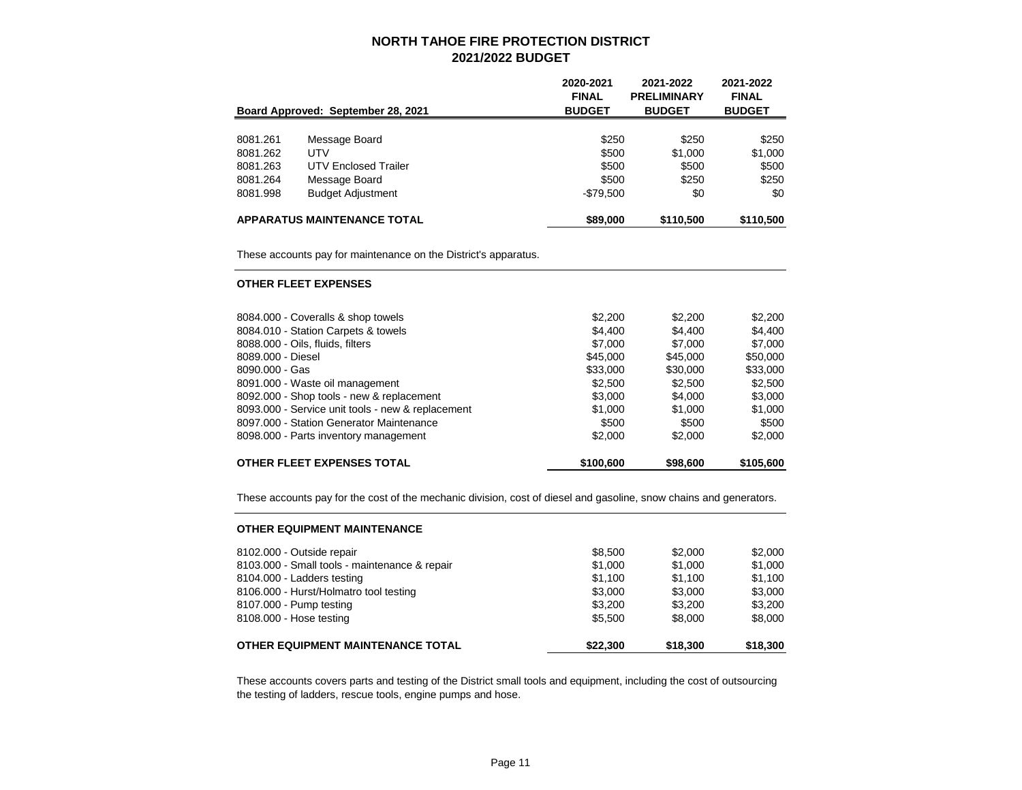|          |                                    | 2020-2021<br><b>FINAL</b> | 2021-2022<br><b>PRELIMINARY</b> | 2021-2022<br><b>FINAL</b> |
|----------|------------------------------------|---------------------------|---------------------------------|---------------------------|
|          | Board Approved: September 28, 2021 | <b>BUDGET</b>             | <b>BUDGET</b>                   | <b>BUDGET</b>             |
|          |                                    |                           |                                 |                           |
| 8081.261 | Message Board                      | \$250                     | \$250                           | \$250                     |
| 8081.262 | UTV                                | \$500                     | \$1,000                         | \$1,000                   |
| 8081.263 | <b>UTV Enclosed Trailer</b>        | \$500                     | \$500                           | \$500                     |
| 8081.264 | Message Board                      | \$500                     | \$250                           | \$250                     |
| 8081.998 | <b>Budget Adjustment</b>           | $-$79,500$                | \$0                             | \$0                       |
|          | <b>APPARATUS MAINTENANCE TOTAL</b> | \$89,000                  | \$110,500                       | \$110,500                 |

These accounts pay for maintenance on the District's apparatus.

#### **OTHER FLEET EXPENSES**

| \$500<br>\$2,000 | \$1,000<br>\$500<br>\$2,000 |
|------------------|-----------------------------|
|                  |                             |
|                  |                             |
| \$1,000          |                             |
| \$4,000          | \$3,000                     |
| \$2,500          | \$2,500                     |
| \$30,000         | \$33,000                    |
| \$45,000         | \$50,000                    |
| \$7,000          | \$7,000                     |
| \$4.400          | \$4,400                     |
| \$2,200          | \$2,200                     |
|                  |                             |

These accounts pay for the cost of the mechanic division, cost of diesel and gasoline, snow chains and generators.

| <b>OTHER EQUIPMENT MAINTENANCE</b>            |          |          |          |
|-----------------------------------------------|----------|----------|----------|
| 8102.000 - Outside repair                     | \$8,500  | \$2,000  | \$2,000  |
| 8103.000 - Small tools - maintenance & repair | \$1,000  | \$1,000  | \$1,000  |
| 8104.000 - Ladders testing                    | \$1,100  | \$1,100  | \$1,100  |
| 8106.000 - Hurst/Holmatro tool testing        | \$3,000  | \$3,000  | \$3,000  |
| 8107.000 - Pump testing                       | \$3,200  | \$3,200  | \$3,200  |
| 8108.000 - Hose testing                       | \$5,500  | \$8,000  | \$8,000  |
| OTHER EQUIPMENT MAINTENANCE TOTAL             | \$22,300 | \$18,300 | \$18,300 |

These accounts covers parts and testing of the District small tools and equipment, including the cost of outsourcing the testing of ladders, rescue tools, engine pumps and hose.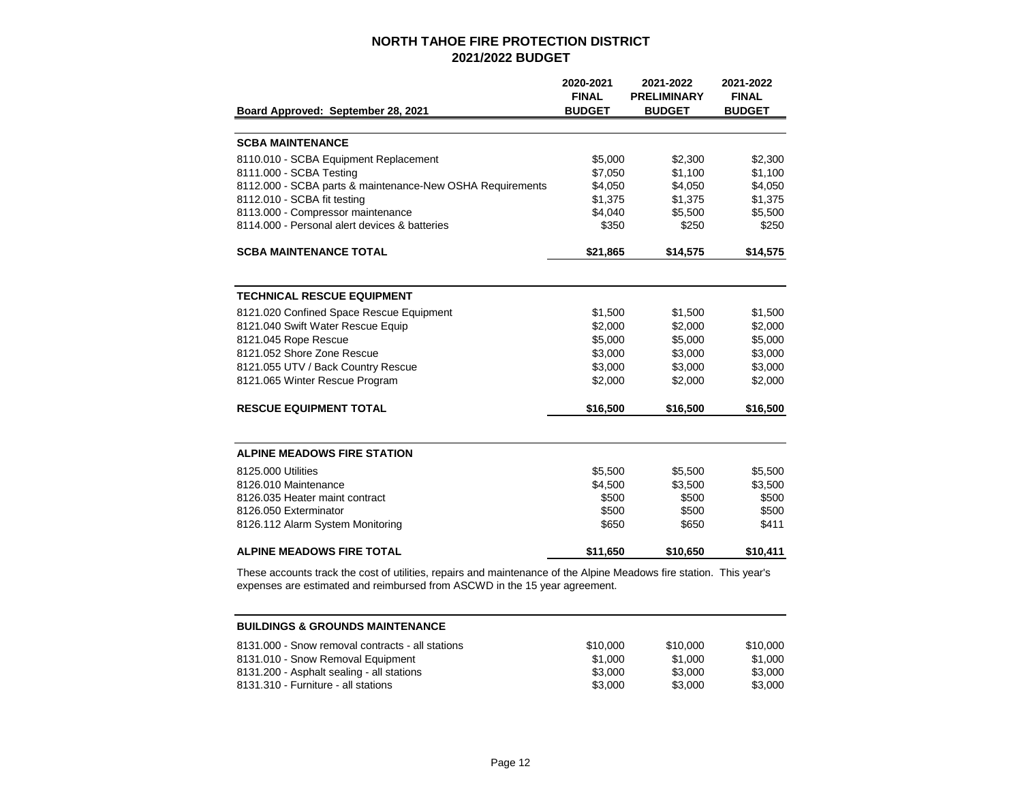|                                                           | 2020-2021     | 2021-2022          | 2021-2022     |
|-----------------------------------------------------------|---------------|--------------------|---------------|
|                                                           | <b>FINAL</b>  | <b>PRELIMINARY</b> | <b>FINAL</b>  |
| Board Approved: September 28, 2021                        | <b>BUDGET</b> | <b>BUDGET</b>      | <b>BUDGET</b> |
|                                                           |               |                    |               |
| <b>SCBA MAINTENANCE</b>                                   |               |                    |               |
| 8110.010 - SCBA Equipment Replacement                     | \$5,000       | \$2,300            | \$2,300       |
| 8111.000 - SCBA Testing                                   | \$7,050       | \$1,100            | \$1,100       |
| 8112.000 - SCBA parts & maintenance-New OSHA Requirements | \$4,050       | \$4,050            | \$4,050       |
| 8112.010 - SCBA fit testing                               | \$1,375       | \$1,375            | \$1,375       |
| 8113.000 - Compressor maintenance                         | \$4,040       | \$5,500            | \$5,500       |
| 8114.000 - Personal alert devices & batteries             | \$350         | \$250              | \$250         |
| <b>SCBA MAINTENANCE TOTAL</b>                             | \$21,865      | \$14,575           | \$14,575      |
|                                                           |               |                    |               |
| <b>TECHNICAL RESCUE EQUIPMENT</b>                         |               |                    |               |
| 8121.020 Confined Space Rescue Equipment                  | \$1,500       | \$1,500            | \$1,500       |
| 8121.040 Swift Water Rescue Equip                         | \$2,000       | \$2,000            | \$2,000       |
| 8121.045 Rope Rescue                                      | \$5,000       | \$5,000            | \$5,000       |
| 8121.052 Shore Zone Rescue                                | \$3,000       | \$3,000            | \$3,000       |
| 8121.055 UTV / Back Country Rescue                        | \$3,000       | \$3,000            | \$3,000       |
| 8121.065 Winter Rescue Program                            | \$2,000       | \$2,000            | \$2,000       |
| <b>RESCUE EQUIPMENT TOTAL</b>                             | \$16,500      | \$16,500           | \$16,500      |
|                                                           |               |                    |               |
| <b>ALPINE MEADOWS FIRE STATION</b>                        |               |                    |               |
| 8125,000 Utilities                                        | \$5,500       | \$5,500            | \$5,500       |
| 8126.010 Maintenance                                      | \$4,500       | \$3,500            | \$3,500       |
| 8126.035 Heater maint contract                            | \$500         | \$500              | \$500         |
| 8126.050 Exterminator                                     | \$500         | \$500              | \$500         |
| 8126.112 Alarm System Monitoring                          | \$650         | \$650              | \$411         |
| <b>ALPINE MEADOWS FIRE TOTAL</b>                          | \$11,650      | \$10,650           | \$10,411      |

These accounts track the cost of utilities, repairs and maintenance of the Alpine Meadows fire station. This year's expenses are estimated and reimbursed from ASCWD in the 15 year agreement.

| <b>BUILDINGS &amp; GROUNDS MAINTENANCE</b>       |          |          |          |  |  |
|--------------------------------------------------|----------|----------|----------|--|--|
| 8131.000 - Snow removal contracts - all stations | \$10,000 | \$10,000 | \$10,000 |  |  |
| 8131.010 - Snow Removal Equipment                | \$1,000  | \$1.000  | \$1,000  |  |  |
| 8131.200 - Asphalt sealing - all stations        | \$3,000  | \$3,000  | \$3,000  |  |  |
| 8131.310 - Furniture - all stations              | \$3,000  | \$3,000  | \$3,000  |  |  |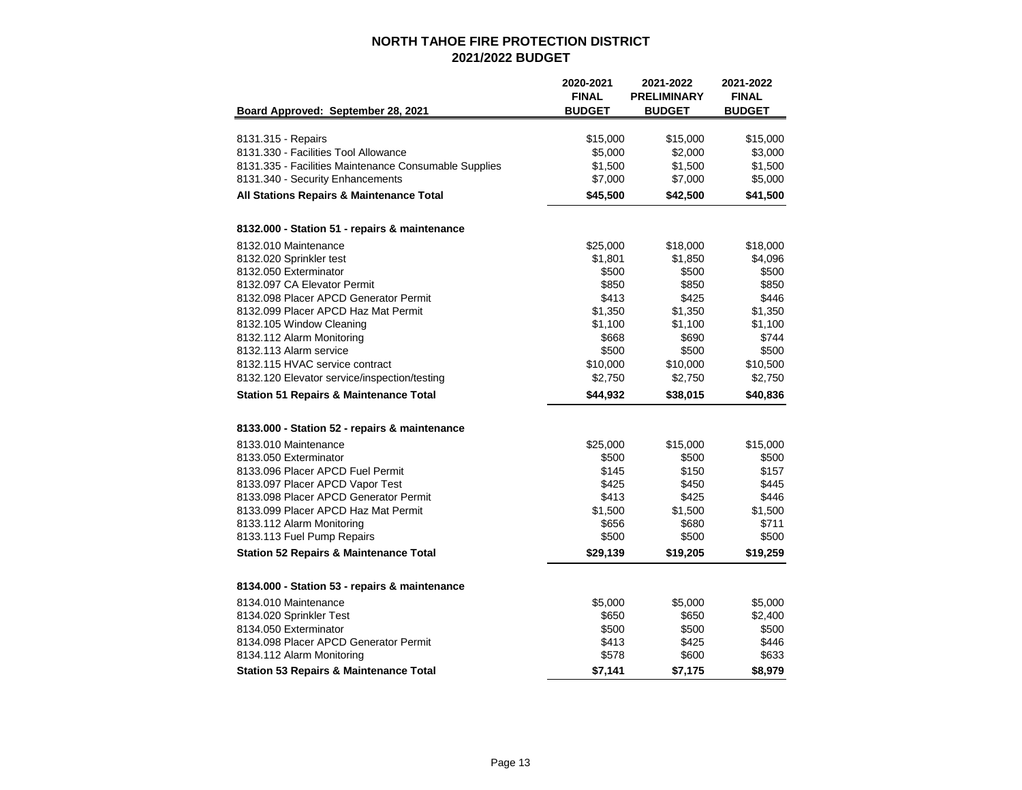|                                                       | 2020-2021<br><b>FINAL</b> | 2021-2022<br><b>PRELIMINARY</b> | 2021-2022<br><b>FINAL</b> |
|-------------------------------------------------------|---------------------------|---------------------------------|---------------------------|
| Board Approved: September 28, 2021                    | <b>BUDGET</b>             | <b>BUDGET</b>                   | <b>BUDGET</b>             |
| 8131.315 - Repairs                                    | \$15,000                  | \$15,000                        | \$15,000                  |
| 8131.330 - Facilities Tool Allowance                  | \$5,000                   | \$2,000                         | \$3,000                   |
| 8131.335 - Facilities Maintenance Consumable Supplies | \$1,500                   | \$1,500                         | \$1,500                   |
| 8131.340 - Security Enhancements                      | \$7,000                   | \$7,000                         | \$5,000                   |
| All Stations Repairs & Maintenance Total              | \$45,500                  | \$42,500                        | \$41,500                  |
| 8132.000 - Station 51 - repairs & maintenance         |                           |                                 |                           |
| 8132.010 Maintenance                                  | \$25,000                  | \$18,000                        | \$18,000                  |
| 8132.020 Sprinkler test                               | \$1,801                   | \$1,850                         | \$4,096                   |
| 8132.050 Exterminator                                 | \$500                     | \$500                           | \$500                     |
| 8132.097 CA Elevator Permit                           | \$850                     | \$850                           | \$850                     |
| 8132.098 Placer APCD Generator Permit                 | \$413                     | \$425                           | \$446                     |
| 8132.099 Placer APCD Haz Mat Permit                   | \$1,350                   | \$1,350                         | \$1,350                   |
| 8132.105 Window Cleaning                              | \$1,100                   | \$1,100                         | \$1,100                   |
| 8132.112 Alarm Monitoring                             | \$668                     | \$690                           | \$744                     |
| 8132.113 Alarm service                                | \$500                     | \$500                           | \$500                     |
| 8132.115 HVAC service contract                        | \$10,000                  | \$10,000                        | \$10,500                  |
| 8132.120 Elevator service/inspection/testing          | \$2,750                   | \$2,750                         | \$2,750                   |
| <b>Station 51 Repairs &amp; Maintenance Total</b>     | \$44,932                  | \$38,015                        | \$40,836                  |
| 8133.000 - Station 52 - repairs & maintenance         |                           |                                 |                           |
| 8133.010 Maintenance                                  | \$25,000                  | \$15,000                        | \$15,000                  |
| 8133.050 Exterminator                                 | \$500                     | \$500                           | \$500                     |
| 8133.096 Placer APCD Fuel Permit                      | \$145                     | \$150                           | \$157                     |
| 8133.097 Placer APCD Vapor Test                       | \$425                     | \$450                           | \$445                     |
| 8133.098 Placer APCD Generator Permit                 | \$413                     | \$425                           | \$446                     |
| 8133.099 Placer APCD Haz Mat Permit                   | \$1,500                   | \$1,500                         | \$1,500                   |
| 8133.112 Alarm Monitoring                             | \$656                     | \$680                           | \$711                     |
| 8133.113 Fuel Pump Repairs                            | \$500                     | \$500                           | \$500                     |
| <b>Station 52 Repairs &amp; Maintenance Total</b>     | \$29,139                  | \$19,205                        | \$19,259                  |
| 8134.000 - Station 53 - repairs & maintenance         |                           |                                 |                           |
| 8134.010 Maintenance                                  | \$5,000                   | \$5,000                         | \$5,000                   |
| 8134.020 Sprinkler Test                               | \$650                     | \$650                           | \$2,400                   |
| 8134.050 Exterminator                                 | \$500                     | \$500                           | \$500                     |
| 8134.098 Placer APCD Generator Permit                 | \$413                     | \$425                           | \$446                     |
| 8134.112 Alarm Monitoring                             | \$578                     | \$600                           | \$633                     |
| <b>Station 53 Repairs &amp; Maintenance Total</b>     | \$7,141                   | \$7,175                         | \$8,979                   |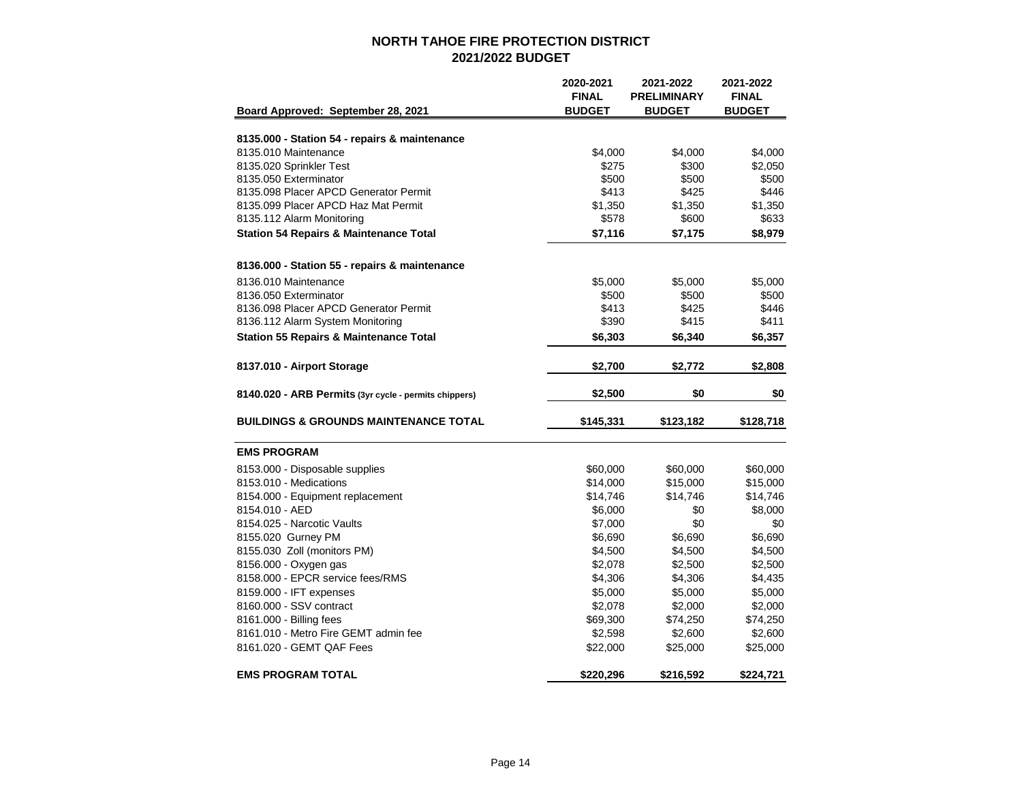|                                                       | 2020-2021<br><b>FINAL</b> | 2021-2022<br><b>PRELIMINARY</b> | 2021-2022<br><b>FINAL</b> |
|-------------------------------------------------------|---------------------------|---------------------------------|---------------------------|
| Board Approved: September 28, 2021                    | <b>BUDGET</b>             | <b>BUDGET</b>                   | <b>BUDGET</b>             |
| 8135.000 - Station 54 - repairs & maintenance         |                           |                                 |                           |
| 8135.010 Maintenance                                  |                           |                                 | \$4.000                   |
| 8135.020 Sprinkler Test                               | \$4,000<br>\$275          | \$4,000<br>\$300                | \$2,050                   |
| 8135.050 Exterminator                                 | \$500                     | \$500                           | \$500                     |
| 8135.098 Placer APCD Generator Permit                 | \$413                     | \$425                           | \$446                     |
| 8135.099 Placer APCD Haz Mat Permit                   | \$1,350                   | \$1,350                         | \$1,350                   |
| 8135.112 Alarm Monitoring                             | \$578                     | \$600                           | \$633                     |
| <b>Station 54 Repairs &amp; Maintenance Total</b>     | \$7,116                   | \$7,175                         | \$8,979                   |
|                                                       |                           |                                 |                           |
| 8136.000 - Station 55 - repairs & maintenance         |                           |                                 |                           |
| 8136.010 Maintenance                                  | \$5,000                   | \$5,000                         | \$5,000                   |
| 8136.050 Exterminator                                 | \$500                     | \$500                           | \$500                     |
| 8136.098 Placer APCD Generator Permit                 | \$413                     | \$425                           | \$446                     |
| 8136.112 Alarm System Monitoring                      | \$390                     | \$415                           | \$411                     |
| <b>Station 55 Repairs &amp; Maintenance Total</b>     | \$6,303                   | \$6,340                         | \$6,357                   |
| 8137.010 - Airport Storage                            | \$2,700                   | \$2,772                         | \$2,808                   |
|                                                       |                           |                                 |                           |
| 8140.020 - ARB Permits (3yr cycle - permits chippers) | \$2,500                   | \$0                             | \$0                       |
| <b>BUILDINGS &amp; GROUNDS MAINTENANCE TOTAL</b>      | \$145,331                 | \$123,182                       | \$128,718                 |
| <b>EMS PROGRAM</b>                                    |                           |                                 |                           |
| 8153.000 - Disposable supplies                        | \$60,000                  | \$60,000                        | \$60,000                  |
| 8153.010 - Medications                                | \$14,000                  | \$15,000                        | \$15,000                  |
| 8154.000 - Equipment replacement                      | \$14,746                  | \$14,746                        | \$14,746                  |
| 8154.010 - AED                                        | \$6,000                   | \$0                             | \$8,000                   |
| 8154.025 - Narcotic Vaults                            | \$7,000                   | \$0                             | \$0                       |
| 8155.020 Gurney PM                                    | \$6,690                   | \$6,690                         | \$6,690                   |
| 8155.030 Zoll (monitors PM)                           | \$4,500                   | \$4,500                         | \$4,500                   |
| 8156.000 - Oxygen gas                                 | \$2,078                   | \$2,500                         | \$2,500                   |
| 8158.000 - EPCR service fees/RMS                      | \$4,306                   | \$4,306                         | \$4,435                   |
| 8159.000 - IFT expenses                               | \$5,000                   | \$5,000                         | \$5,000                   |
| 8160,000 - SSV contract                               | \$2,078                   | \$2,000                         | \$2,000                   |
| 8161.000 - Billing fees                               | \$69,300                  | \$74,250                        | \$74,250                  |
| 8161.010 - Metro Fire GEMT admin fee                  | \$2,598                   | \$2,600                         | \$2,600                   |
| 8161.020 - GEMT QAF Fees                              | \$22,000                  | \$25,000                        | \$25,000                  |
| <b>EMS PROGRAM TOTAL</b>                              | \$220,296                 | \$216,592                       | \$224,721                 |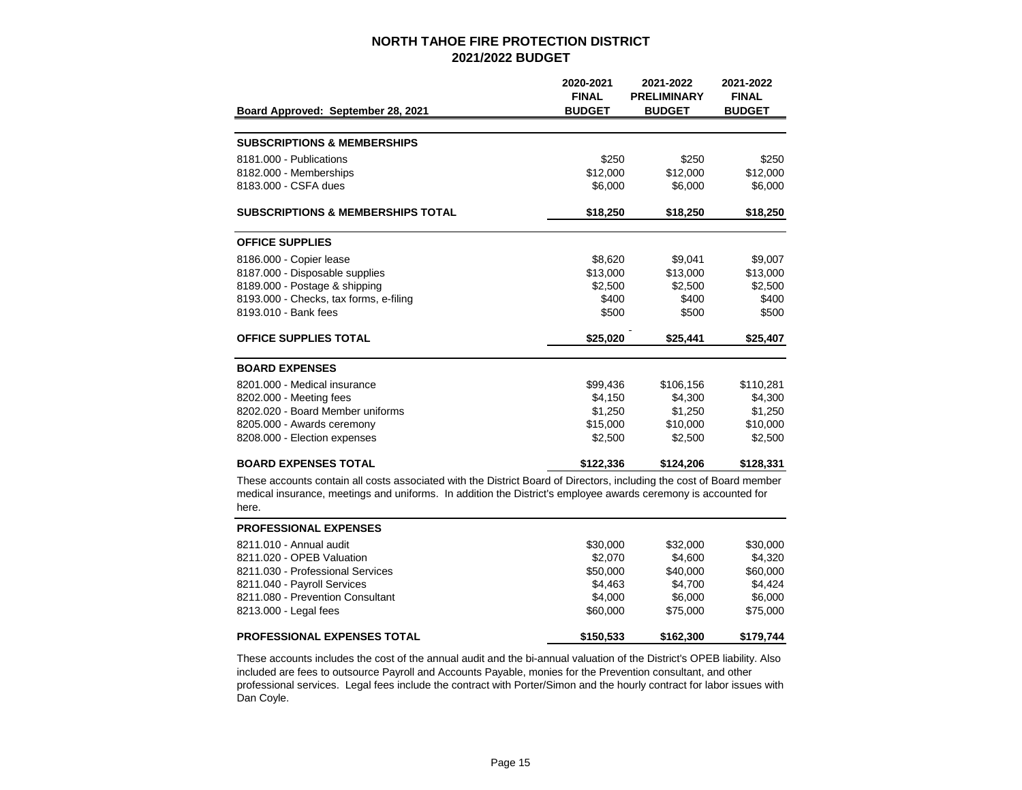| Board Approved: September 28, 2021                                                                                                                                                                                                              | 2020-2021<br><b>FINAL</b><br><b>BUDGET</b> | 2021-2022<br><b>PRELIMINARY</b><br><b>BUDGET</b> | 2021-2022<br><b>FINAL</b><br><b>BUDGET</b> |
|-------------------------------------------------------------------------------------------------------------------------------------------------------------------------------------------------------------------------------------------------|--------------------------------------------|--------------------------------------------------|--------------------------------------------|
|                                                                                                                                                                                                                                                 |                                            |                                                  |                                            |
| <b>SUBSCRIPTIONS &amp; MEMBERSHIPS</b>                                                                                                                                                                                                          |                                            |                                                  |                                            |
| 8181.000 - Publications                                                                                                                                                                                                                         | \$250                                      | \$250                                            | \$250                                      |
| 8182.000 - Memberships                                                                                                                                                                                                                          | \$12,000                                   | \$12,000                                         | \$12,000                                   |
| 8183,000 - CSFA dues                                                                                                                                                                                                                            | \$6,000                                    | \$6,000                                          | \$6,000                                    |
| <b>SUBSCRIPTIONS &amp; MEMBERSHIPS TOTAL</b>                                                                                                                                                                                                    | \$18,250                                   | \$18,250                                         | \$18,250                                   |
| <b>OFFICE SUPPLIES</b>                                                                                                                                                                                                                          |                                            |                                                  |                                            |
| 8186.000 - Copier lease                                                                                                                                                                                                                         | \$8,620                                    | \$9.041                                          | \$9,007                                    |
| 8187.000 - Disposable supplies                                                                                                                                                                                                                  | \$13,000                                   | \$13,000                                         | \$13,000                                   |
| 8189.000 - Postage & shipping                                                                                                                                                                                                                   | \$2,500                                    | \$2,500                                          | \$2,500                                    |
| 8193.000 - Checks, tax forms, e-filing                                                                                                                                                                                                          | \$400                                      | \$400                                            | \$400                                      |
| 8193.010 - Bank fees                                                                                                                                                                                                                            | \$500                                      | \$500                                            | \$500                                      |
| <b>OFFICE SUPPLIES TOTAL</b>                                                                                                                                                                                                                    | \$25,020                                   | \$25,441                                         | \$25,407                                   |
| <b>BOARD EXPENSES</b>                                                                                                                                                                                                                           |                                            |                                                  |                                            |
| 8201.000 - Medical insurance                                                                                                                                                                                                                    | \$99,436                                   | \$106,156                                        | \$110,281                                  |
| 8202.000 - Meeting fees                                                                                                                                                                                                                         | \$4,150                                    | \$4,300                                          | \$4,300                                    |
| 8202.020 - Board Member uniforms                                                                                                                                                                                                                | \$1,250                                    | \$1,250                                          | \$1,250                                    |
| 8205.000 - Awards ceremony                                                                                                                                                                                                                      | \$15,000                                   | \$10,000                                         | \$10,000                                   |
| 8208.000 - Election expenses                                                                                                                                                                                                                    | \$2,500                                    | \$2,500                                          | \$2,500                                    |
| <b>BOARD EXPENSES TOTAL</b>                                                                                                                                                                                                                     | \$122,336                                  | \$124,206                                        | \$128,331                                  |
| These accounts contain all costs associated with the District Board of Directors, including the cost of Board member<br>medical insurance, meetings and uniforms. In addition the District's employee awards ceremony is accounted for<br>here. |                                            |                                                  |                                            |

| <b>PROFESSIONAL EXPENSES</b>       |           |           |           |
|------------------------------------|-----------|-----------|-----------|
| 8211.010 - Annual audit            | \$30,000  | \$32,000  | \$30,000  |
| 8211.020 - OPEB Valuation          | \$2,070   | \$4,600   | \$4,320   |
| 8211.030 - Professional Services   | \$50,000  | \$40,000  | \$60,000  |
| 8211.040 - Payroll Services        | \$4,463   | \$4.700   | \$4.424   |
| 8211,080 - Prevention Consultant   | \$4,000   | \$6,000   | \$6,000   |
| 8213.000 - Legal fees              | \$60,000  | \$75,000  | \$75,000  |
| <b>PROFESSIONAL EXPENSES TOTAL</b> | \$150.533 | \$162,300 | \$179.744 |

These accounts includes the cost of the annual audit and the bi-annual valuation of the District's OPEB liability. Also included are fees to outsource Payroll and Accounts Payable, monies for the Prevention consultant, and other professional services. Legal fees include the contract with Porter/Simon and the hourly contract for labor issues with Dan Coyle.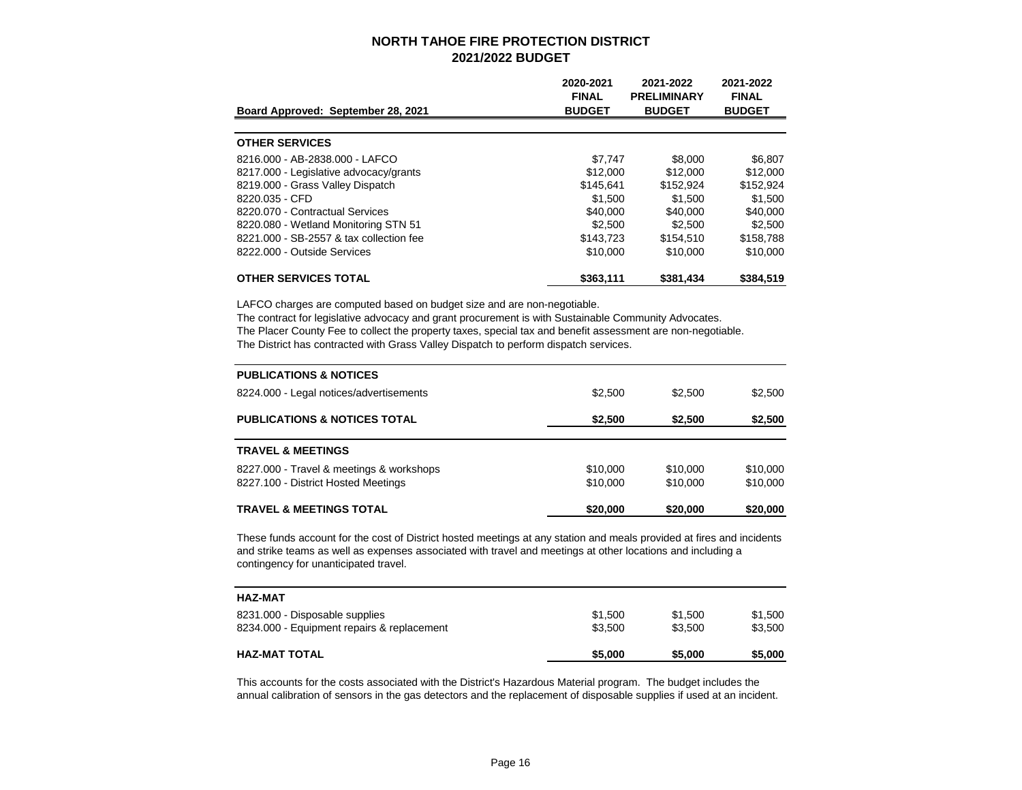| Board Approved: September 28, 2021      | 2020-2021<br><b>FINAL</b><br><b>BUDGET</b> | 2021-2022<br><b>PRELIMINARY</b><br><b>BUDGET</b> | 2021-2022<br><b>FINAL</b><br><b>BUDGET</b> |
|-----------------------------------------|--------------------------------------------|--------------------------------------------------|--------------------------------------------|
|                                         |                                            |                                                  |                                            |
| <b>OTHER SERVICES</b>                   |                                            |                                                  |                                            |
| 8216.000 - AB-2838.000 - LAFCO          | \$7,747                                    | \$8,000                                          | \$6.807                                    |
| 8217.000 - Legislative advocacy/grants  | \$12,000                                   | \$12,000                                         | \$12,000                                   |
| 8219.000 - Grass Valley Dispatch        | \$145.641                                  | \$152.924                                        | \$152,924                                  |
| 8220.035 - CFD                          | \$1,500                                    | \$1,500                                          | \$1,500                                    |
| 8220.070 - Contractual Services         | \$40,000                                   | \$40,000                                         | \$40,000                                   |
| 8220.080 - Wetland Monitoring STN 51    | \$2,500                                    | \$2,500                                          | \$2,500                                    |
| 8221,000 - SB-2557 & tax collection fee | \$143,723                                  | \$154,510                                        | \$158,788                                  |
| 8222.000 - Outside Services             | \$10,000                                   | \$10,000                                         | \$10,000                                   |
| <b>OTHER SERVICES TOTAL</b>             | \$363,111                                  | \$381.434                                        | \$384,519                                  |

LAFCO charges are computed based on budget size and are non-negotiable.

The contract for legislative advocacy and grant procurement is with Sustainable Community Advocates. The Placer County Fee to collect the property taxes, special tax and benefit assessment are non-negotiable. The District has contracted with Grass Valley Dispatch to perform dispatch services.

| <b>PUBLICATIONS &amp; NOTICES</b>                                               |                      |                      |                      |
|---------------------------------------------------------------------------------|----------------------|----------------------|----------------------|
| 8224.000 - Legal notices/advertisements                                         | \$2,500              | \$2.500              | \$2,500              |
| <b>PUBLICATIONS &amp; NOTICES TOTAL</b>                                         | \$2,500              | \$2,500              | \$2,500              |
| <b>TRAVEL &amp; MEETINGS</b>                                                    |                      |                      |                      |
| 8227.000 - Travel & meetings & workshops<br>8227.100 - District Hosted Meetings | \$10,000<br>\$10,000 | \$10,000<br>\$10,000 | \$10,000<br>\$10,000 |
| <b>TRAVEL &amp; MEETINGS TOTAL</b>                                              | \$20,000             | \$20,000             | \$20,000             |

These funds account for the cost of District hosted meetings at any station and meals provided at fires and incidents and strike teams as well as expenses associated with travel and meetings at other locations and including a contingency for unanticipated travel.

| <b>HAZ-MAT TOTAL</b>                       | \$5,000 | \$5,000 | \$5,000 |
|--------------------------------------------|---------|---------|---------|
| 8234.000 - Equipment repairs & replacement | \$3,500 | \$3.500 | \$3,500 |
| 8231.000 - Disposable supplies             | \$1,500 | \$1,500 | \$1,500 |
| <b>HAZ-MAT</b>                             |         |         |         |

This accounts for the costs associated with the District's Hazardous Material program. The budget includes the annual calibration of sensors in the gas detectors and the replacement of disposable supplies if used at an incident.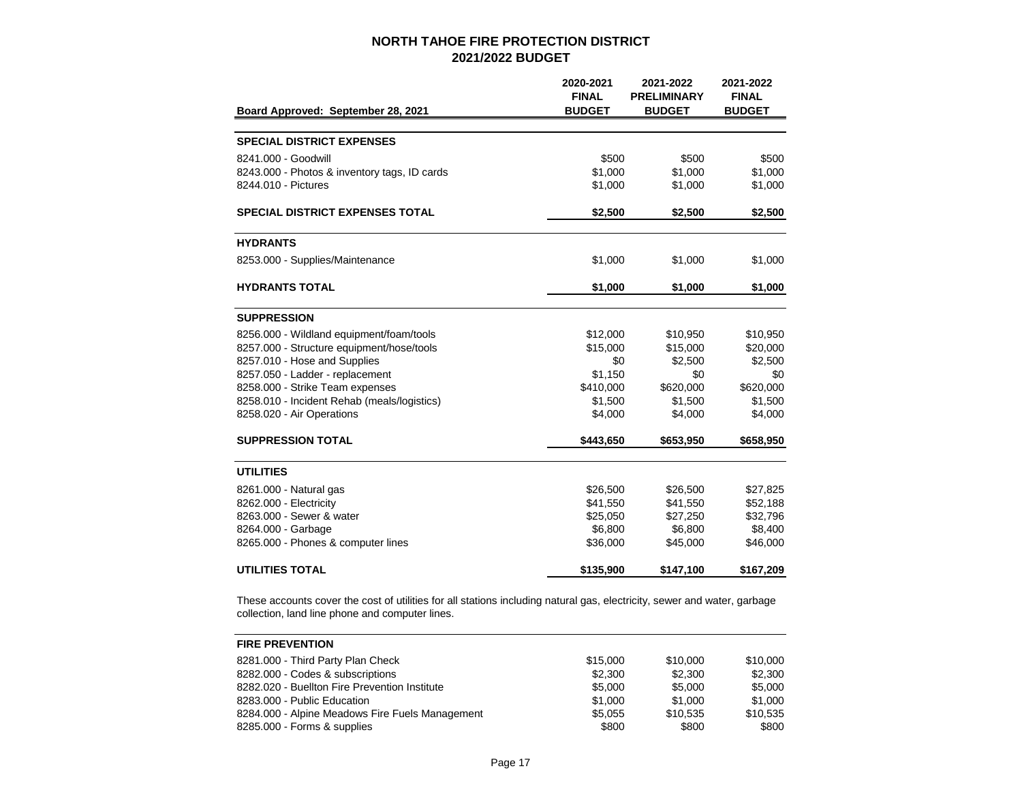|                                              | 2020-2021<br><b>FINAL</b> | 2021-2022<br><b>PRELIMINARY</b> | 2021-2022<br><b>FINAL</b> |
|----------------------------------------------|---------------------------|---------------------------------|---------------------------|
| Board Approved: September 28, 2021           | <b>BUDGET</b>             | <b>BUDGET</b>                   | <b>BUDGET</b>             |
|                                              |                           |                                 |                           |
| <b>SPECIAL DISTRICT EXPENSES</b>             |                           |                                 |                           |
| 8241.000 - Goodwill                          | \$500                     | \$500                           | \$500                     |
| 8243.000 - Photos & inventory tags, ID cards | \$1,000                   | \$1,000                         | \$1,000                   |
| 8244.010 - Pictures                          | \$1,000                   | \$1,000                         | \$1,000                   |
| <b>SPECIAL DISTRICT EXPENSES TOTAL</b>       | \$2,500                   | \$2,500                         | \$2,500                   |
| <b>HYDRANTS</b>                              |                           |                                 |                           |
| 8253.000 - Supplies/Maintenance              | \$1,000                   | \$1,000                         | \$1,000                   |
| <b>HYDRANTS TOTAL</b>                        | \$1,000                   | \$1,000                         | \$1,000                   |
| <b>SUPPRESSION</b>                           |                           |                                 |                           |
| 8256.000 - Wildland equipment/foam/tools     | \$12,000                  | \$10,950                        | \$10,950                  |
| 8257.000 - Structure equipment/hose/tools    | \$15,000                  | \$15,000                        | \$20,000                  |
| 8257.010 - Hose and Supplies                 | \$0                       | \$2,500                         | \$2,500                   |
| 8257.050 - Ladder - replacement              | \$1,150                   | \$0                             | \$0                       |
| 8258.000 - Strike Team expenses              | \$410,000                 | \$620,000                       | \$620,000                 |
| 8258.010 - Incident Rehab (meals/logistics)  | \$1,500                   | \$1,500                         | \$1,500                   |
| 8258.020 - Air Operations                    | \$4,000                   | \$4,000                         | \$4,000                   |
| <b>SUPPRESSION TOTAL</b>                     | \$443,650                 | \$653,950                       | \$658,950                 |
| <b>UTILITIES</b>                             |                           |                                 |                           |
| 8261.000 - Natural gas                       | \$26,500                  | \$26,500                        | \$27,825                  |
| 8262.000 - Electricity                       | \$41,550                  | \$41,550                        | \$52,188                  |
| 8263.000 - Sewer & water                     | \$25,050                  | \$27,250                        | \$32,796                  |
| 8264.000 - Garbage                           | \$6,800                   | \$6,800                         | \$8,400                   |
| 8265.000 - Phones & computer lines           | \$36,000                  | \$45,000                        | \$46,000                  |
| <b>UTILITIES TOTAL</b>                       | \$135,900                 | \$147,100                       | \$167,209                 |

These accounts cover the cost of utilities for all stations including natural gas, electricity, sewer and water, garbage collection, land line phone and computer lines.

| <b>FIRE PREVENTION</b>                          |          |          |          |
|-------------------------------------------------|----------|----------|----------|
| 8281.000 - Third Party Plan Check               | \$15,000 | \$10,000 | \$10,000 |
| 8282.000 - Codes & subscriptions                | \$2,300  | \$2,300  | \$2,300  |
| 8282.020 - Buellton Fire Prevention Institute   | \$5,000  | \$5,000  | \$5,000  |
| 8283.000 - Public Education                     | \$1,000  | \$1,000  | \$1,000  |
| 8284.000 - Alpine Meadows Fire Fuels Management | \$5.055  | \$10.535 | \$10.535 |
| 8285.000 - Forms & supplies                     | \$800    | \$800    | \$800    |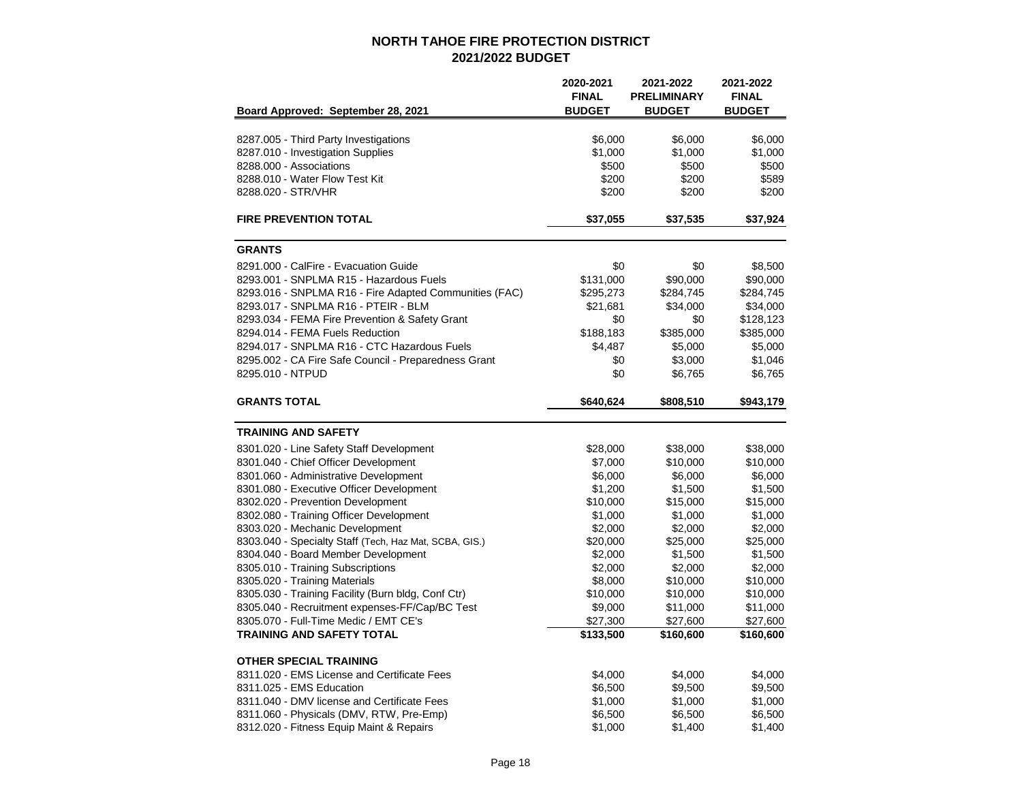|                                                                              | 2020-2021<br><b>FINAL</b> | 2021-2022<br><b>PRELIMINARY</b> | 2021-2022<br><b>FINAL</b> |
|------------------------------------------------------------------------------|---------------------------|---------------------------------|---------------------------|
| Board Approved: September 28, 2021                                           | <b>BUDGET</b>             | <b>BUDGET</b>                   | <b>BUDGET</b>             |
| 8287.005 - Third Party Investigations                                        | \$6,000                   | \$6,000                         | \$6,000                   |
| 8287.010 - Investigation Supplies                                            | \$1,000                   | \$1,000                         | \$1,000                   |
| 8288.000 - Associations                                                      | \$500                     | \$500                           | \$500                     |
| 8288.010 - Water Flow Test Kit                                               | \$200                     | \$200                           | \$589                     |
| 8288.020 - STR/VHR                                                           | \$200                     | \$200                           | \$200                     |
| <b>FIRE PREVENTION TOTAL</b>                                                 | \$37,055                  | \$37,535                        | \$37,924                  |
| <b>GRANTS</b>                                                                |                           |                                 |                           |
| 8291.000 - CalFire - Evacuation Guide                                        | \$0                       | \$0                             | \$8,500                   |
| 8293.001 - SNPLMA R15 - Hazardous Fuels                                      | \$131,000                 | \$90,000                        | \$90,000                  |
| 8293.016 - SNPLMA R16 - Fire Adapted Communities (FAC)                       | \$295,273                 | \$284,745                       | \$284,745                 |
| 8293.017 - SNPLMA R16 - PTEIR - BLM                                          | \$21,681                  | \$34,000                        | \$34,000                  |
| 8293.034 - FEMA Fire Prevention & Safety Grant                               | \$0                       | \$0                             | \$128,123                 |
| 8294.014 - FEMA Fuels Reduction                                              | \$188,183                 | \$385,000                       | \$385,000                 |
| 8294.017 - SNPLMA R16 - CTC Hazardous Fuels                                  | \$4,487                   | \$5,000                         | \$5,000                   |
| 8295.002 - CA Fire Safe Council - Preparedness Grant                         | \$0                       | \$3,000                         | \$1,046                   |
| 8295.010 - NTPUD                                                             | \$0                       | \$6,765                         | \$6,765                   |
| <b>GRANTS TOTAL</b>                                                          | \$640,624                 | \$808,510                       | \$943,179                 |
| <b>TRAINING AND SAFETY</b>                                                   |                           |                                 |                           |
|                                                                              |                           |                                 |                           |
| 8301.020 - Line Safety Staff Development                                     | \$28,000                  | \$38,000                        | \$38,000                  |
| 8301.040 - Chief Officer Development                                         | \$7,000                   | \$10,000                        | \$10,000                  |
| 8301.060 - Administrative Development                                        | \$6,000                   | \$6,000                         | \$6,000                   |
| 8301.080 - Executive Officer Development                                     | \$1,200<br>\$10,000       | \$1,500                         | \$1,500<br>\$15,000       |
| 8302.020 - Prevention Development<br>8302.080 - Training Officer Development | \$1,000                   | \$15,000<br>\$1,000             | \$1,000                   |
| 8303.020 - Mechanic Development                                              | \$2,000                   | \$2,000                         | \$2,000                   |
| 8303.040 - Specialty Staff (Tech, Haz Mat, SCBA, GIS.)                       | \$20,000                  | \$25,000                        | \$25,000                  |
| 8304.040 - Board Member Development                                          | \$2,000                   | \$1,500                         | \$1,500                   |
| 8305.010 - Training Subscriptions                                            | \$2,000                   | \$2,000                         | \$2,000                   |
| 8305.020 - Training Materials                                                | \$8,000                   | \$10,000                        | \$10,000                  |
| 8305.030 - Training Facility (Burn bldg, Conf Ctr)                           | \$10,000                  | \$10,000                        | \$10,000                  |
| 8305.040 - Recruitment expenses-FF/Cap/BC Test                               | \$9,000                   | \$11,000                        | \$11,000                  |
| 8305.070 - Full-Time Medic / EMT CE's                                        | \$27,300                  | \$27,600                        | \$27,600                  |
| <b>TRAINING AND SAFETY TOTAL</b>                                             | \$133,500                 | \$160,600                       | \$160,600                 |
| <b>OTHER SPECIAL TRAINING</b>                                                |                           |                                 |                           |
| 8311.020 - EMS License and Certificate Fees                                  | \$4,000                   | \$4,000                         | \$4,000                   |
| 8311.025 - EMS Education                                                     | \$6,500                   | \$9,500                         | \$9,500                   |
| 8311.040 - DMV license and Certificate Fees                                  | \$1,000                   | \$1,000                         | \$1,000                   |
| 8311.060 - Physicals (DMV, RTW, Pre-Emp)                                     | \$6,500                   | \$6,500                         | \$6,500                   |
| 8312.020 - Fitness Equip Maint & Repairs                                     | \$1,000                   | \$1,400                         | \$1,400                   |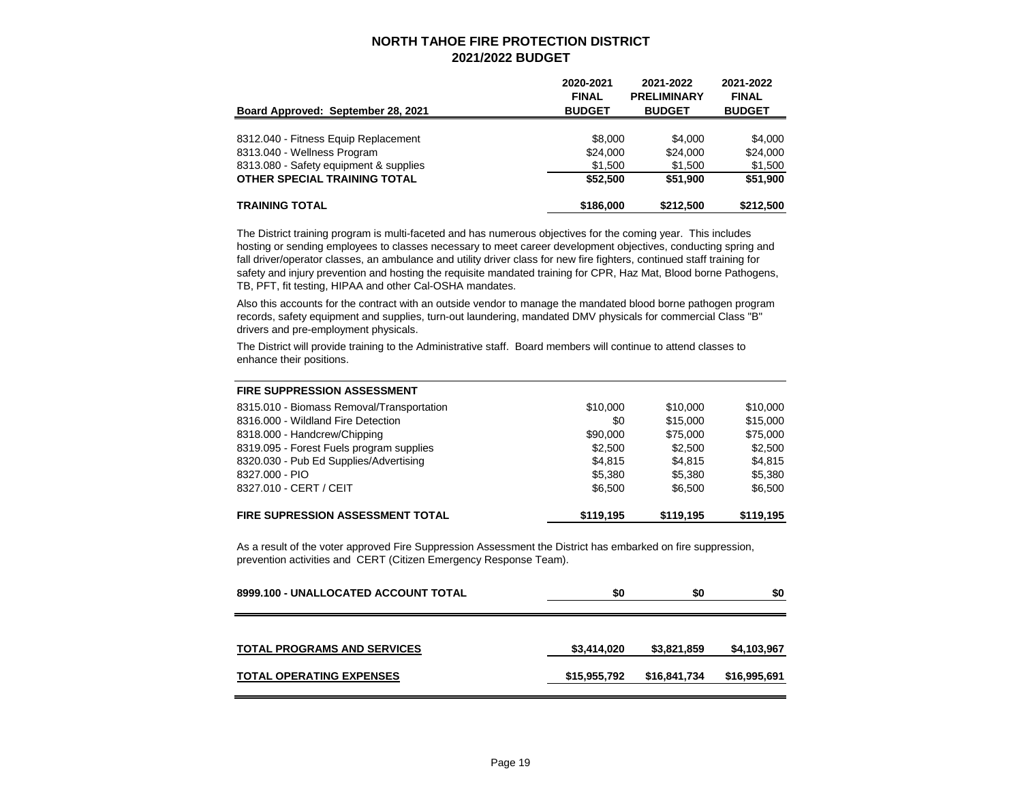| Board Approved: September 28, 2021     | 2020-2021<br><b>FINAL</b><br><b>BUDGET</b> | 2021-2022<br><b>PRELIMINARY</b><br><b>BUDGET</b> | 2021-2022<br><b>FINAL</b><br><b>BUDGET</b> |
|----------------------------------------|--------------------------------------------|--------------------------------------------------|--------------------------------------------|
|                                        |                                            |                                                  |                                            |
| 8312.040 - Fitness Equip Replacement   | \$8,000                                    | \$4,000                                          | \$4.000                                    |
| 8313.040 - Wellness Program            | \$24,000                                   | \$24,000                                         | \$24.000                                   |
| 8313.080 - Safety equipment & supplies | \$1.500                                    | \$1,500                                          | \$1,500                                    |
| OTHER SPECIAL TRAINING TOTAL           | \$52,500                                   | \$51,900                                         | \$51,900                                   |
| <b>TRAINING TOTAL</b>                  | \$186,000                                  | \$212,500                                        | \$212,500                                  |

The District training program is multi-faceted and has numerous objectives for the coming year. This includes hosting or sending employees to classes necessary to meet career development objectives, conducting spring and fall driver/operator classes, an ambulance and utility driver class for new fire fighters, continued staff training for safety and injury prevention and hosting the requisite mandated training for CPR, Haz Mat, Blood borne Pathogens, TB, PFT, fit testing, HIPAA and other Cal-OSHA mandates.

Also this accounts for the contract with an outside vendor to manage the mandated blood borne pathogen program records, safety equipment and supplies, turn-out laundering, mandated DMV physicals for commercial Class "B" drivers and pre-employment physicals.

The District will provide training to the Administrative staff. Board members will continue to attend classes to enhance their positions.

| <b>FIRE SUPPRESSION ASSESSMENT</b>        |           |           |           |
|-------------------------------------------|-----------|-----------|-----------|
| 8315.010 - Biomass Removal/Transportation | \$10,000  | \$10,000  | \$10,000  |
| 8316.000 - Wildland Fire Detection        | \$0       | \$15,000  | \$15,000  |
| 8318.000 - Handcrew/Chipping              | \$90,000  | \$75,000  | \$75,000  |
| 8319.095 - Forest Fuels program supplies  | \$2,500   | \$2.500   | \$2,500   |
| 8320.030 - Pub Ed Supplies/Advertising    | \$4.815   | \$4.815   | \$4.815   |
| 8327,000 - PIO                            | \$5,380   | \$5,380   | \$5,380   |
| 8327.010 - CERT / CEIT                    | \$6,500   | \$6.500   | \$6,500   |
| <b>FIRE SUPRESSION ASSESSMENT TOTAL</b>   | \$119.195 | \$119,195 | \$119,195 |

As a result of the voter approved Fire Suppression Assessment the District has embarked on fire suppression, prevention activities and CERT (Citizen Emergency Response Team).

| 8999.100 - UNALLOCATED ACCOUNT TOTAL | \$0          | \$0          | \$0          |
|--------------------------------------|--------------|--------------|--------------|
| <b>TOTAL PROGRAMS AND SERVICES</b>   | \$3,414,020  | \$3,821,859  | \$4,103,967  |
| <b>TOTAL OPERATING EXPENSES</b>      | \$15,955,792 | \$16,841,734 | \$16,995,691 |